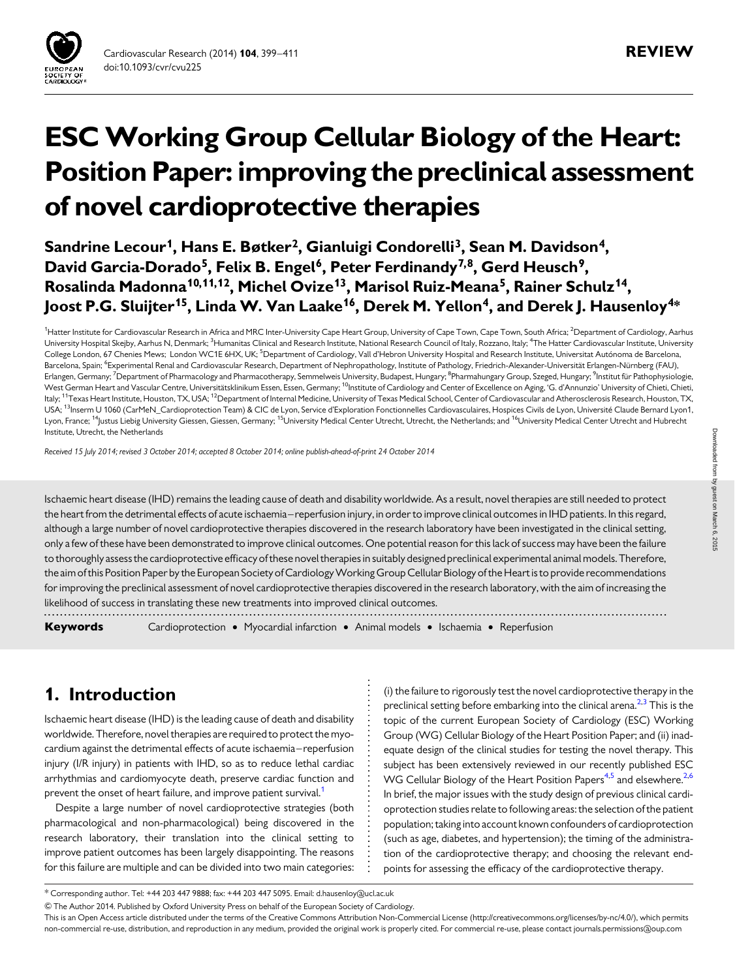

# ESC Working Group Cellular Biology of the Heart: Position Paper: improving the preclinical assessment of novel cardioprotective therapies

Sandrine Lecour<sup>1</sup>, Hans E. Bøtker<sup>2</sup>, Gianluigi Condorelli<sup>3</sup>, Sean M. Davidson<sup>4</sup>, David Garcia-Dorado<sup>5</sup>, Felix B. Engel<sup>6</sup>, Peter Ferdinandy<sup>7,8</sup>, Gerd Heusch<sup>9</sup>, Rosalinda Madonna<sup>10,11,12</sup>, Michel Ovize<sup>13</sup>, Marisol Ruiz-Meana<sup>5</sup>, Rainer Schulz<sup>14</sup>, Joost P.G. Sluijter<sup>15</sup>, Linda W. Van Laake<sup>16</sup>, Derek M. Yellon<sup>4</sup>, and Derek J. Hausenloy<sup>4\*</sup>

<sup>1</sup>Hatter Institute for Cardiovascular Research in Africa and MRC Inter-University Cape Heart Group, University of Cape Town, Cape Town, South Africa; <sup>2</sup>Department of Cardiology, Aarhus University Hospital Skejby, Aarhus N, Denmark; <sup>3</sup>Humanitas Clinical and Research Institute, National Research Council of Italy, Rozzano, Italy; <sup>4</sup>The Hatter Cardiovascular Institute, University College London, 67 Chenies Mews; London WC1E 6HX, UK; <sup>5</sup>Department of Cardiology, Vall d'Hebron University Hospital and Research Institute, Universitat Autónoma de Barcelona Barcelona, Spain; <sup>6</sup>Experimental Renal and Cardiovascular Research, Department of Nephropathology, Institute of Pathology, Friedrich-Alexander-Universität Erlangen-Nürnberg (FAU) Erlangen, Germany; <sup>7</sup>Department of Pharmacology and Pharmacotherapy, Semmelweis University, Budapest, Hungary; <sup>8</sup>Pharmahungary Group, Szeged, Hungary; <sup>9</sup>Institut für Pathophysiologie. West German Heart and Vascular Centre, Universitätsklinikum Essen, Essen, Germany; <sup>10</sup>Institute of Cardiology and Center of Excellence on Aging, 'G. d'Annunzio' University of Chieti, Chieti, Chieti, Italy; <sup>11</sup>Texas Heart Institute, Houston, TX, USA; <sup>12</sup>Department of Internal Medicine, University of Texas Medical School, Center of Cardiovascular and Atherosclerosis Research, Houston, TX, USA; <sup>13</sup>Inserm U 1060 (CarMeN\_Cardioprotection Team) & CIC de Lyon, Service d'Exploration Fonctionnelles Cardiovasculaires, Hospices Civils de Lyon, Université Claude Bernard Lyon1, Lyon, France; <sup>14</sup>Justus Liebig University Giessen, Giessen, Germany; <sup>15</sup>University Medical Center Utrecht, Utrecht, the Netherlands; and <sup>16</sup>University Medical Center Utrecht and Hubrecht Institute, Utrecht, the Netherlands

Received 15 July 2014; revised 3 October 2014; accepted 8 October 2014; online publish-ahead-of-print 24 October 2014

Ischaemic heart disease (IHD) remains the leading cause of death and disability worldwide. As a result, novel therapies are still needed to protect the heart from the detrimental effects of acute ischaemia–reperfusion injury, in order to improve clinical outcomes in IHD patients. In this regard, although a large number of novel cardioprotective therapies discovered in the research laboratory have been investigated in the clinical setting, only a few of these have been demonstrated to improve clinical outcomes. One potential reason for this lack of success may have been the failure to thoroughly assess the cardioprotective efficacy of these novel therapies in suitably designed preclinical experimental animal models. Therefore, the aim ofthis Position Paper by the European Societyof Cardiology Working Group Cellular Biologyof the Heartistoprovide recommendations for improving the preclinical assessment of novel cardioprotective therapies discovered in the research laboratory, with the aim of increasing the likelihood of success in translating these new treatments into improved clinical outcomes.

----------------------------------------------------------------------------------------------------------------------------------------------------------- Keywords Cardioprotection • Myocardial infarction • Animal models • Ischaemia • Reperfusion

# 1. Introduction

Ischaemic heart disease (IHD) is the leading cause of death and disability worldwide. Therefore, novel therapies are required to protect the myocardium against the detrimental effects of acute ischaemia–reperfusion injury (I/R injury) in patients with IHD, so as to reduce lethal cardiac arrhythmias and cardiomyocyte death, preserve cardiac function and prevent the onset of heart failure, and improve patient survival.<sup>[1](#page-10-0)</sup>

Despite a large number of novel cardioprotective strategies (both pharmacological and non-pharmacological) being discovered in the research laboratory, their translation into the clinical setting to improve patient outcomes has been largely disappointing. The reasons for this failure are multiple and can be divided into two main categories: (i) the failure to rigorously test the novel cardioprotective therapy in the preclinical setting before embarking into the clinical arena.<sup>[2,3](#page-10-0)</sup> This is the topic of the current European Society of Cardiology (ESC) Working Group (WG) Cellular Biology of the Heart Position Paper; and (ii) inadequate design of the clinical studies for testing the novel therapy. This subject has been extensively reviewed in our recently published ESC WG Cellular Biology of the Heart Position Papers<sup>[4](#page-10-0),[5](#page-10-0)</sup> and elsewhere.<sup>[2](#page-10-0),[6](#page-10-0)</sup> In brief, the major issues with the study design of previous clinical cardioprotection studies relate to following areas: the selection of the patient population; taking into account knownconfounders of cardioprotection (such as age, diabetes, and hypertension); the timing of the administration of the cardioprotective therapy; and choosing the relevant endpoints for assessing the efficacy of the cardioprotective therapy.

& The Author 2014. Published by Oxford University Press on behalf of the European Society of Cardiology.

<sup>\*</sup> Corresponding author. Tel: +44 203 447 9888; fax: +44 203 447 5095. Email: d.hausenloy@ucl.ac.uk

This is an Open Access article distributed under the terms of the Creative Commons Attribution Non-Commercial License [\(http://creativecommons.org/licenses/by-nc/4.0/](http://creativecommons.org/licenses/by-nc/4.0/)), which permits non-commercial re-use, distribution, and reproduction in any medium, provided the original work is properly cited. For commercial re-use, please contact journals.permissions@oup.com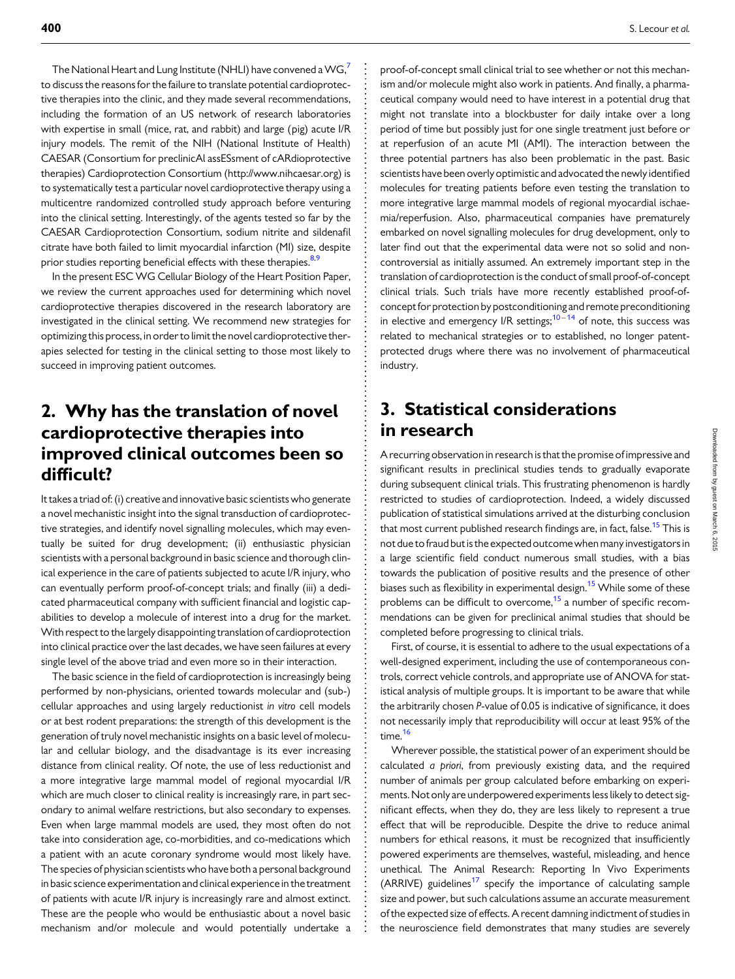The National Heart and Lung Institute (NHLI) have convened a  $\text{WG}_1^7$  $\text{WG}_1^7$ to discuss the reasons for the failure to translate potential cardioprotective therapies into the clinic, and they made several recommendations, including the formation of an US network of research laboratories with expertise in small (mice, rat, and rabbit) and large (pig) acute I/R injury models. The remit of the NIH (National Institute of Health) CAESAR (Consortium for preclinicAl assESsment of cARdioprotective therapies) Cardioprotection Consortium (<http://www.nihcaesar.org>) is to systematically test a particular novel cardioprotective therapy using a multicentre randomized controlled study approach before venturing into the clinical setting. Interestingly, of the agents tested so far by the CAESAR Cardioprotection Consortium, sodium nitrite and sildenafil citrate have both failed to limit myocardial infarction (MI) size, despite prior studies reporting beneficial effects with these therapies.<sup>8,9</sup>

In the present ESC WG Cellular Biology of the Heart Position Paper, we review the current approaches used for determining which novel cardioprotective therapies discovered in the research laboratory are investigated in the clinical setting. We recommend new strategies for optimizing this process, in order to limit the novelcardioprotective therapies selected for testing in the clinical setting to those most likely to succeed in improving patient outcomes.

# 2. Why has the translation of novel cardioprotective therapies into improved clinical outcomes been so difficult?

It takes atriad of: (i) creative and innovative basic scientists who generate a novel mechanistic insight into the signal transduction of cardioprotective strategies, and identify novel signalling molecules, which may eventually be suited for drug development; (ii) enthusiastic physician scientists with a personal background in basic science and thorough clinical experience in the care of patients subjected to acute I/R injury, who can eventually perform proof-of-concept trials; and finally (iii) a dedicated pharmaceutical company with sufficient financial and logistic capabilities to develop a molecule of interest into a drug for the market. With respect to the largely disappointing translation of cardioprotection into clinical practice over the last decades, we have seen failures at every single level of the above triad and even more so in their interaction.

The basic science in the field of cardioprotection is increasingly being performed by non-physicians, oriented towards molecular and (sub-) cellular approaches and using largely reductionist in vitro cell models or at best rodent preparations: the strength of this development is the generation of truly novel mechanistic insights on a basic level of molecular and cellular biology, and the disadvantage is its ever increasing distance from clinical reality. Of note, the use of less reductionist and a more integrative large mammal model of regional myocardial I/R which are much closer to clinical reality is increasingly rare, in part secondary to animal welfare restrictions, but also secondary to expenses. Even when large mammal models are used, they most often do not take into consideration age, co-morbidities, and co-medications which a patient with an acute coronary syndrome would most likely have. The species of physician scientists who have both a personal background in basic science experimentation and clinical experience in the treatment of patients with acute I/R injury is increasingly rare and almost extinct. These are the people who would be enthusiastic about a novel basic mechanism and/or molecule and would potentially undertake a proof-of-concept small clinical trial to see whether or not this mechanism and/or molecule might also work in patients. And finally, a pharmaceutical company would need to have interest in a potential drug that might not translate into a blockbuster for daily intake over a long period of time but possibly just for one single treatment just before or at reperfusion of an acute MI (AMI). The interaction between the three potential partners has also been problematic in the past. Basic scientists have been overlyoptimistic and advocated the newlyidentified molecules for treating patients before even testing the translation to more integrative large mammal models of regional myocardial ischaemia/reperfusion. Also, pharmaceutical companies have prematurely embarked on novel signalling molecules for drug development, only to later find out that the experimental data were not so solid and noncontroversial as initially assumed. An extremely important step in the translation of cardioprotection is the conduct of small proof-of-concept clinical trials. Such trials have more recently established proof-ofconcept for protection by postconditioning and remote preconditioning in elective and emergency I/R settings; $10-14$  $10-14$  $10-14$  of note, this success was related to mechanical strategies or to established, no longer patentprotected drugs where there was no involvement of pharmaceutical industry.

# 3. Statistical considerations in research

A recurring observation in researchis that the promise of impressive and significant results in preclinical studies tends to gradually evaporate during subsequent clinical trials. This frustrating phenomenon is hardly restricted to studies of cardioprotection. Indeed, a widely discussed publication of statistical simulations arrived at the disturbing conclusion that most current published research findings are, in fact, false.<sup>15</sup> This is not due to fraud but is the expected outcome when many investigators in a large scientific field conduct numerous small studies, with a bias towards the publication of positive results and the presence of other biases such as flexibility in experimental design.<sup>[15](#page-10-0)</sup> While some of these problems can be difficult to overcome, $15$  a number of specific recommendations can be given for preclinical animal studies that should be completed before progressing to clinical trials.

First, of course, it is essential to adhere to the usual expectations of a well-designed experiment, including the use of contemporaneous controls, correct vehicle controls, and appropriate use of ANOVA for statistical analysis of multiple groups. It is important to be aware that while the arbitrarily chosen P-value of 0.05 is indicative of significance, it does not necessarily imply that reproducibility will occur at least 95% of the time.<sup>[16](#page-10-0)</sup>

Wherever possible, the statistical power of an experiment should be calculated a priori, from previously existing data, and the required number of animals per group calculated before embarking on experiments. Not only are underpowered experiments less likely to detect significant effects, when they do, they are less likely to represent a true effect that will be reproducible. Despite the drive to reduce animal numbers for ethical reasons, it must be recognized that insufficiently powered experiments are themselves, wasteful, misleading, and hence unethical. The Animal Research: Reporting In Vivo Experiments  $(ARRIVE)$  guidelines<sup>17</sup> specify the importance of calculating sample size and power, but such calculations assume an accurate measurement of the expected size of effects. A recent damning indictment of studies in the neuroscience field demonstrates that many studies are severely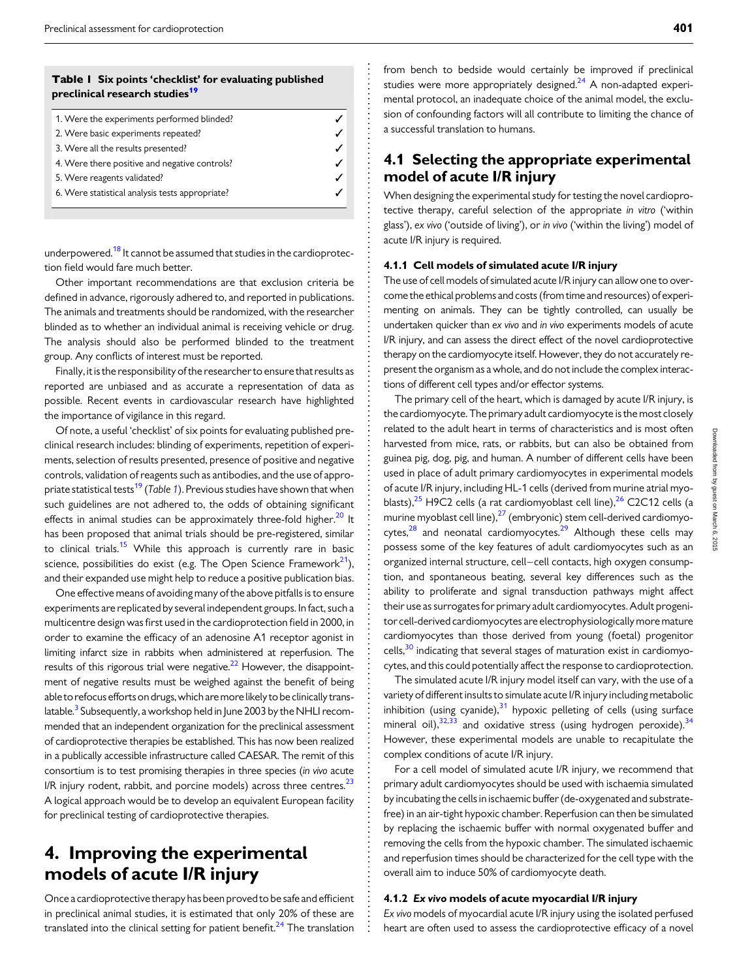| <b>Table I</b> Six points 'checklist' for evaluating published<br>preclinical research studies <sup>19</sup> |                                                 |  |  |  |  |  |  |
|--------------------------------------------------------------------------------------------------------------|-------------------------------------------------|--|--|--|--|--|--|
|                                                                                                              | 1. Were the experiments performed blinded?      |  |  |  |  |  |  |
|                                                                                                              | 2. Were basic experiments repeated?             |  |  |  |  |  |  |
|                                                                                                              | 3. Were all the results presented?              |  |  |  |  |  |  |
|                                                                                                              | 4. Were there positive and negative controls?   |  |  |  |  |  |  |
|                                                                                                              | 5. Were reagents validated?                     |  |  |  |  |  |  |
|                                                                                                              | 6. Were statistical analysis tests appropriate? |  |  |  |  |  |  |
|                                                                                                              |                                                 |  |  |  |  |  |  |

underpowered.<sup>18</sup> It cannot be assumed that studies in the cardioprotection field would fare much better.

Other important recommendations are that exclusion criteria be defined in advance, rigorously adhered to, and reported in publications. The animals and treatments should be randomized, with the researcher blinded as to whether an individual animal is receiving vehicle or drug. The analysis should also be performed blinded to the treatment group. Any conflicts of interest must be reported.

Finally, it is the responsibility of the researcher to ensure that results as reported are unbiased and as accurate a representation of data as possible. Recent events in cardiovascular research have highlighted the importance of vigilance in this regard.

Of note, a useful 'checklist' of six points for evaluating published preclinical research includes: blinding of experiments, repetition of experiments, selection of results presented, presence of positive and negative controls, validation of reagents such as antibodies, and the use of appro-priate statistical tests<sup>[19](#page-10-0)</sup> (Table 1). Previous studies have shown that when such guidelines are not adhered to, the odds of obtaining significant effects in animal studies can be approximately three-fold higher. $^{20}$  It has been proposed that animal trials should be pre-registered, similar to clinical trials.<sup>[15](#page-10-0)</sup> While this approach is currently rare in basic science, possibilities do exist (e.g. The Open Science Framework $2<sup>1</sup>$ ), and their expanded use might help to reduce a positive publication bias.

One effective means of avoiding many of the above pitfalls is to ensure experiments are replicated by several independent groups. In fact, such a multicentre design was first used in the cardioprotection field in 2000, in order to examine the efficacy of an adenosine A1 receptor agonist in limiting infarct size in rabbits when administered at reperfusion. The results of this rigorous trial were negative. $22$  However, the disappointment of negative results must be weighed against the benefit of being able to refocus efforts on drugs, which are more likely to be clinically translatable.<sup>3</sup> Subsequently, a workshop held in June 2003 by the NHLI recommended that an independent organization for the preclinical assessment of cardioprotective therapies be established. This has now been realized in a publically accessible infrastructure called CAESAR. The remit of this consortium is to test promising therapies in three species (in vivo acute I/R injury rodent, rabbit, and porcine models) across three centres.<sup>[23](#page-10-0)</sup> A logical approach would be to develop an equivalent European facility for preclinical testing of cardioprotective therapies.

# 4. Improving the experimental models of acute I/R injury

Once a cardioprotective therapy has been proved to be safe and efficient in preclinical animal studies, it is estimated that only 20% of these are translated into the clinical setting for patient benefit.<sup>[24](#page-10-0)</sup> The translation from bench to bedside would certainly be improved if preclinical studies were more appropriately designed.<sup>24</sup> A non-adapted experimental protocol, an inadequate choice of the animal model, the exclusion of confounding factors will all contribute to limiting the chance of a successful translation to humans.

# 4.1 Selecting the appropriate experimental model of acute I/R injury

When designing the experimental study for testing the novel cardioprotective therapy, careful selection of the appropriate in vitro ('within glass'), ex vivo ('outside of living'), or in vivo ('within the living') model of acute I/R injury is required.

# 4.1.1 Cell models of simulated acute I/R injury

The use of cell models of simulated acute I/R injury can allow one to overcome the ethical problems and costs (from time and resources) of experimenting on animals. They can be tightly controlled, can usually be undertaken quicker than ex vivo and in vivo experiments models of acute I/R injury, and can assess the direct effect of the novel cardioprotective therapy on the cardiomyocyte itself. However, they do not accurately represent the organism as a whole, and do not include the complex interactions of different cell types and/or effector systems.

The primary cell of the heart, which is damaged by acute I/R injury, is the cardiomyocyte. The primaryadult cardiomyocyte is the most closely related to the adult heart in terms of characteristics and is most often harvested from mice, rats, or rabbits, but can also be obtained from guinea pig, dog, pig, and human. A number of different cells have been used in place of adult primary cardiomyocytes in experimental models of acute I/R injury, including HL-1 cells (derived from murine atrial myoblasts), $^{25}$  $^{25}$  $^{25}$  H9C2 cells (a rat cardiomyoblast cell line), $^{26}$  C2C12 cells (a murine myoblast cell line), <sup>27</sup> (embryonic) stem cell-derived cardiomyocytes, $28$  and neonatal cardiomyocytes. $29$  Although these cells may possess some of the key features of adult cardiomyocytes such as an organized internal structure, cell–cell contacts, high oxygen consumption, and spontaneous beating, several key differences such as the ability to proliferate and signal transduction pathways might affect their use as surrogates for primary adult cardiomyocytes. Adult progenitorcell-derived cardiomyocytes are electrophysiologically more mature cardiomyocytes than those derived from young (foetal) progenitor cells,<sup>30</sup> indicating that several stages of maturation exist in cardiomyocytes, and this could potentially affect the response to cardioprotection.

The simulated acute I/R injury model itself can vary, with the use of a variety of different insults to simulate acute I/R injury including metabolic inhibition (using cyanide), $31$  hypoxic pelleting of cells (using surface mineral oil), $32,33$  and oxidative stress (using hydrogen peroxide).  $34$ However, these experimental models are unable to recapitulate the complex conditions of acute I/R injury.

For a cell model of simulated acute I/R injury, we recommend that primary adult cardiomyocytes should be used with ischaemia simulated by incubating the cells in ischaemic buffer (de-oxygenated and substratefree) in an air-tight hypoxic chamber. Reperfusion can then be simulated by replacing the ischaemic buffer with normal oxygenated buffer and removing the cells from the hypoxic chamber. The simulated ischaemic and reperfusion times should be characterized for the cell type with the overall aim to induce 50% of cardiomyocyte death.

# 4.1.2 Ex vivo models of acute myocardial I/R injury

Ex vivo models of myocardial acute I/R injury using the isolated perfused heart are often used to assess the cardioprotective efficacy of a novel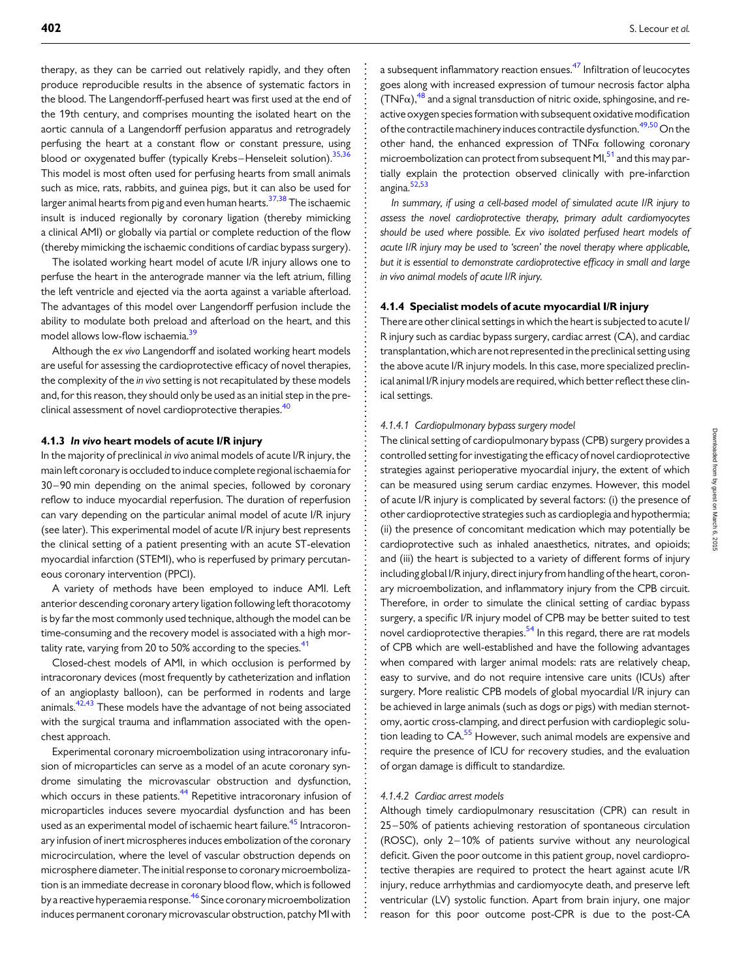therapy, as they can be carried out relatively rapidly, and they often produce reproducible results in the absence of systematic factors in the blood. The Langendorff-perfused heart was first used at the end of the 19th century, and comprises mounting the isolated heart on the aortic cannula of a Langendorff perfusion apparatus and retrogradely perfusing the heart at a constant flow or constant pressure, using blood or oxygenated buffer (typically Krebs–Henseleit solution).<sup>35,[36](#page-10-0)</sup> This model is most often used for perfusing hearts from small animals such as mice, rats, rabbits, and guinea pigs, but it can also be used for larger animal hearts from pig and even human hearts.<sup>[37](#page-10-0),[38](#page-10-0)</sup> The ischaemic insult is induced regionally by coronary ligation (thereby mimicking a clinical AMI) or globally via partial or complete reduction of the flow (thereby mimicking the ischaemic conditions of cardiac bypass surgery).

The isolated working heart model of acute I/R injury allows one to perfuse the heart in the anterograde manner via the left atrium, filling the left ventricle and ejected via the aorta against a variable afterload. The advantages of this model over Langendorff perfusion include the ability to modulate both preload and afterload on the heart, and this model allows low-flow ischaemia.<sup>39</sup>

Although the ex vivo Langendorff and isolated working heart models are useful for assessing the cardioprotective efficacy of novel therapies, the complexity of the in vivo setting is not recapitulated by these models and, for this reason, they should only be used as an initial step in the pre-clinical assessment of novel cardioprotective therapies.<sup>[40](#page-10-0)</sup>

#### 4.1.3 In vivo heart models of acute I/R injury

In the majority of preclinical in vivo animal models of acute I/R injury, the main left coronaryis occluded to induce complete regional ischaemiafor 30–90 min depending on the animal species, followed by coronary reflow to induce myocardial reperfusion. The duration of reperfusion can vary depending on the particular animal model of acute I/R injury (see later). This experimental model of acute I/R injury best represents the clinical setting of a patient presenting with an acute ST-elevation myocardial infarction (STEMI), who is reperfused by primary percutaneous coronary intervention (PPCI).

A variety of methods have been employed to induce AMI. Left anterior descending coronary artery ligation following left thoracotomy is by far the most commonly used technique, although the model can be time-consuming and the recovery model is associated with a high mor-tality rate, varying from 20 to 50% according to the species.<sup>[41](#page-10-0)</sup>

Closed-chest models of AMI, in which occlusion is performed by intracoronary devices (most frequently by catheterization and inflation of an angioplasty balloon), can be performed in rodents and large animals. $42,43$  $42,43$  $42,43$  These models have the advantage of not being associated with the surgical trauma and inflammation associated with the openchest approach.

Experimental coronary microembolization using intracoronary infusion of microparticles can serve as a model of an acute coronary syndrome simulating the microvascular obstruction and dysfunction, which occurs in these patients.<sup>[44](#page-11-0)</sup> Repetitive intracoronary infusion of microparticles induces severe myocardial dysfunction and has been used as an experimental model of ischaemic heart failure.<sup>[45](#page-11-0)</sup> Intracoronary infusion of inert microspheres induces embolization of the coronary microcirculation, where the level of vascular obstruction depends on microsphere diameter. The initial response to coronary microembolization is an immediate decrease in coronary blood flow, which is followed by a reactive hyperaemia response.<sup>[46](#page-11-0)</sup> Since coronary microembolization induces permanent coronary microvascular obstruction, patchy MI with a subsequent inflammatory reaction ensues.<sup>47</sup> Infiltration of leucocytes goes along with increased expression of tumour necrosis factor alpha (TNF $\alpha$ ),  $48$  and a signal transduction of nitric oxide, sphingosine, and reactive oxygen species formation with subsequent oxidativemodification of the contractile machinery induces contractile dysfunction.<sup>[49,50](#page-11-0)</sup> On the other hand, the enhanced expression of  $TNF\alpha$  following coronary microembolization can protect from subsequent  $MI$ ,  $51$  and this may partially explain the protection observed clinically with pre-infarction angina.<sup>52,[53](#page-11-0)</sup>

In summary, if using a cell-based model of simulated acute I/R injury to assess the novel cardioprotective therapy, primary adult cardiomyocytes should be used where possible. Ex vivo isolated perfused heart models of acute I/R injury may be used to 'screen' the novel therapy where applicable, but it is essential to demonstrate cardioprotective efficacy in small and large in vivo animal models of acute I/R injury.

# 4.1.4 Specialist models of acute myocardial I/R injury

There are other clinical settings in which the heart is subjected to acute I/ R injury such as cardiac bypass surgery, cardiac arrest (CA), and cardiac transplantation, which are not represented in the preclinical setting using the above acute I/R injury models. In this case, more specialized preclinical animal I/R injury models are required, which better reflect these clinical settings.

#### 4.1.4.1 Cardiopulmonary bypass surgery model

The clinical setting of cardiopulmonary bypass (CPB) surgery provides a controlled setting for investigating the efficacy of novel cardioprotective strategies against perioperative myocardial injury, the extent of which can be measured using serum cardiac enzymes. However, this model of acute I/R injury is complicated by several factors: (i) the presence of other cardioprotective strategies such as cardioplegia and hypothermia; (ii) the presence of concomitant medication which may potentially be cardioprotective such as inhaled anaesthetics, nitrates, and opioids; and (iii) the heart is subjected to a variety of different forms of injury including global I/R injury, direct injury from handling of the heart, coronary microembolization, and inflammatory injury from the CPB circuit. Therefore, in order to simulate the clinical setting of cardiac bypass surgery, a specific I/R injury model of CPB may be better suited to test novel cardioprotective therapies.<sup>[54](#page-11-0)</sup> In this regard, there are rat models of CPB which are well-established and have the following advantages when compared with larger animal models: rats are relatively cheap, easy to survive, and do not require intensive care units (ICUs) after surgery. More realistic CPB models of global myocardial I/R injury can be achieved in large animals (such as dogs or pigs) with median sternotomy, aortic cross-clamping, and direct perfusion with cardioplegic solution leading to CA.<sup>55</sup> However, such animal models are expensive and require the presence of ICU for recovery studies, and the evaluation of organ damage is difficult to standardize.

### 4.1.4.2 Cardiac arrest models

Although timely cardiopulmonary resuscitation (CPR) can result in 25–50% of patients achieving restoration of spontaneous circulation (ROSC), only 2–10% of patients survive without any neurological deficit. Given the poor outcome in this patient group, novel cardioprotective therapies are required to protect the heart against acute I/R injury, reduce arrhythmias and cardiomyocyte death, and preserve left ventricular (LV) systolic function. Apart from brain injury, one major reason for this poor outcome post-CPR is due to the post-CA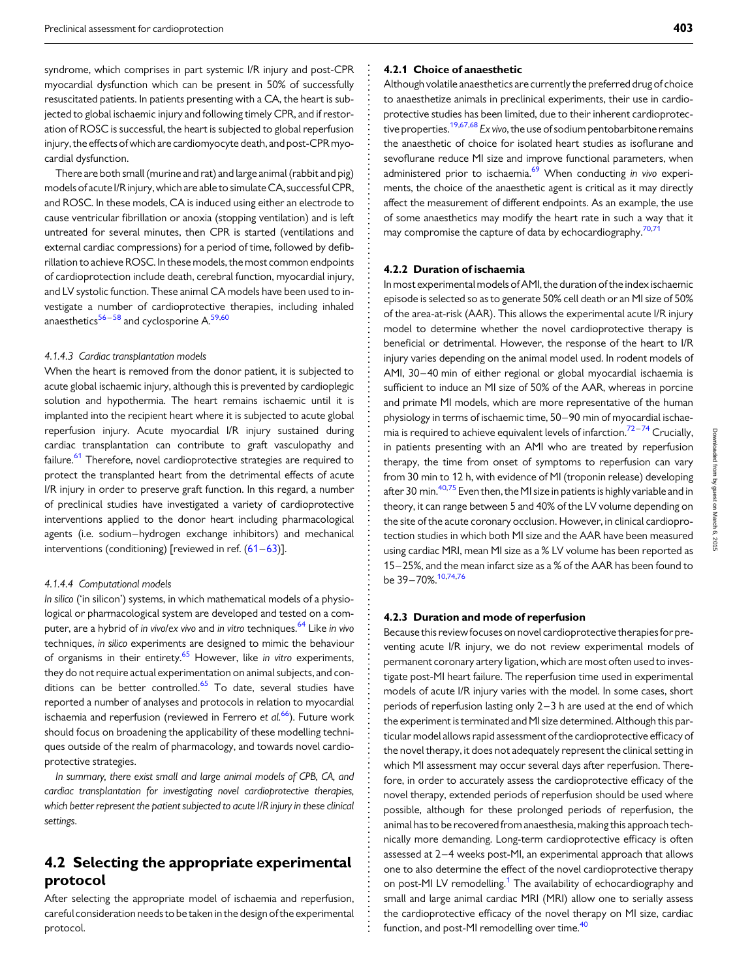syndrome, which comprises in part systemic I/R injury and post-CPR myocardial dysfunction which can be present in 50% of successfully resuscitated patients. In patients presenting with a CA, the heart is subjected to global ischaemic injury and following timely CPR, and if restoration of ROSC is successful, the heart is subjected to global reperfusion injury,the effects of which are cardiomyocyte death, and post-CPR myocardial dysfunction.

There are both small (murine and rat) and large animal (rabbit and pig) models of acute I/R injury, which are able to simulate CA, successful CPR, and ROSC. In these models, CA is induced using either an electrode to cause ventricular fibrillation or anoxia (stopping ventilation) and is left untreated for several minutes, then CPR is started (ventilations and external cardiac compressions) for a period of time, followed by defibrillation to achieve ROSC. In these models, the most common endpoints of cardioprotection include death, cerebral function, myocardial injury, and LV systolic function. These animal CA models have been used to investigate a number of cardioprotective therapies, including inhaled anaesthetics $56 - 58$  $56 - 58$  $56 - 58$  and cyclosporine A.<sup>[59,60](#page-11-0)</sup>

# 4.1.4.3 Cardiac transplantation models

When the heart is removed from the donor patient, it is subjected to acute global ischaemic injury, although this is prevented by cardioplegic solution and hypothermia. The heart remains ischaemic until it is implanted into the recipient heart where it is subjected to acute global reperfusion injury. Acute myocardial I/R injury sustained during cardiac transplantation can contribute to graft vasculopathy and failure.<sup>[61](#page-11-0)</sup> Therefore, novel cardioprotective strategies are required to protect the transplanted heart from the detrimental effects of acute I/R injury in order to preserve graft function. In this regard, a number of preclinical studies have investigated a variety of cardioprotective interventions applied to the donor heart including pharmacological agents (i.e. sodium–hydrogen exchange inhibitors) and mechanical interventions (conditioning) [reviewed in ref.  $(61-63)$  $(61-63)$  $(61-63)$  $(61-63)$ ].

# 4.1.4.4 Computational models

In silico ('in silicon') systems, in which mathematical models of a physiological or pharmacological system are developed and tested on a com-puter, are a hybrid of in vivo/ex vivo and in vitro techniques.<sup>[64](#page-11-0)</sup> Like in vivo techniques, in silico experiments are designed to mimic the behaviour of organisms in their entirety.<sup>65</sup> However, like in vitro experiments, they do not require actual experimentation on animal subjects, and con-ditions can be better controlled.<sup>[65](#page-11-0)</sup> To date, several studies have reported a number of analyses and protocols in relation to myocardial ischaemia and reperfusion (reviewed in Ferrero et  $al^{66}$  $al^{66}$  $al^{66}$ ). Future work should focus on broadening the applicability of these modelling techniques outside of the realm of pharmacology, and towards novel cardioprotective strategies.

In summary, there exist small and large animal models of CPB, CA, and cardiac transplantation for investigating novel cardioprotective therapies, which better represent the patient subjected to acute I/R injury in these clinical settings.

# 4.2 Selecting the appropriate experimental protocol

After selecting the appropriate model of ischaemia and reperfusion, careful consideration needs to be taken in the design of the experimental protocol.

# 4.2.1 Choice of anaesthetic

Although volatile anaesthetics are currently the preferred drug of choice to anaesthetize animals in preclinical experiments, their use in cardioprotective studies has been limited, due to their inherent cardioprotec-tive properties.<sup>[19](#page-10-0),[67](#page-11-0),[68](#page-11-0)</sup> Ex vivo, the use of sodium pentobarbitone remains the anaesthetic of choice for isolated heart studies as isoflurane and sevoflurane reduce MI size and improve functional parameters, when administered prior to ischaemia.<sup>[69](#page-11-0)</sup> When conducting in vivo experiments, the choice of the anaesthetic agent is critical as it may directly affect the measurement of different endpoints. As an example, the use of some anaesthetics may modify the heart rate in such a way that it may compromise the capture of data by echocardiography.<sup>70,71</sup>

### 4.2.2 Duration of ischaemia

Inmostexperimental models of AMI, the duration of the index ischaemic episode is selected so as to generate 50% cell death or an MI size of 50% of the area-at-risk (AAR). This allows the experimental acute I/R injury model to determine whether the novel cardioprotective therapy is beneficial or detrimental. However, the response of the heart to I/R injury varies depending on the animal model used. In rodent models of AMI, 30–40 min of either regional or global myocardial ischaemia is sufficient to induce an MI size of 50% of the AAR, whereas in porcine and primate MI models, which are more representative of the human physiology in terms of ischaemic time, 50–90 min of myocardial ischae-mia is required to achieve equivalent levels of infarction.<sup>[72](#page-11-0)-[74](#page-11-0)</sup> Crucially, in patients presenting with an AMI who are treated by reperfusion therapy, the time from onset of symptoms to reperfusion can vary from 30 min to 12 h, with evidence of MI (troponin release) developing after 30 min.<sup>[40](#page-10-0)[,75](#page-11-0)</sup> Even then, the MI size in patients is highly variable and in theory, it can range between 5 and 40% of the LV volume depending on the site of the acute coronary occlusion. However, in clinical cardioprotection studies in which both MI size and the AAR have been measured using cardiac MRI, mean MI size as a % LV volume has been reported as 15–25%, and the mean infarct size as a % of the AAR has been found to be 39-70%.<sup>[10](#page-10-0)[,74,76](#page-11-0)</sup>

# 4.2.3 Duration and mode of reperfusion

Because this review focuses on novel cardioprotective therapies for preventing acute I/R injury, we do not review experimental models of permanent coronary artery ligation, which are most often used to investigate post-MI heart failure. The reperfusion time used in experimental models of acute I/R injury varies with the model. In some cases, short periods of reperfusion lasting only 2–3 h are used at the end of which the experiment is terminated and MI size determined. Although this particular model allows rapid assessment of the cardioprotective efficacy of the novel therapy, it does not adequately represent the clinical setting in which MI assessment may occur several days after reperfusion. Therefore, in order to accurately assess the cardioprotective efficacy of the novel therapy, extended periods of reperfusion should be used where possible, although for these prolonged periods of reperfusion, the animal has to be recovered from anaesthesia, making this approach technically more demanding. Long-term cardioprotective efficacy is often assessed at 2–4 weeks post-MI, an experimental approach that allows one to also determine the effect of the novel cardioprotective therapy on post-MI LV remodelling.<sup>[1](#page-10-0)</sup> The availability of echocardiography and small and large animal cardiac MRI (MRI) allow one to serially assess the cardioprotective efficacy of the novel therapy on MI size, cardiac function, and post-MI remodelling over time.<sup>[40](#page-10-0)</sup>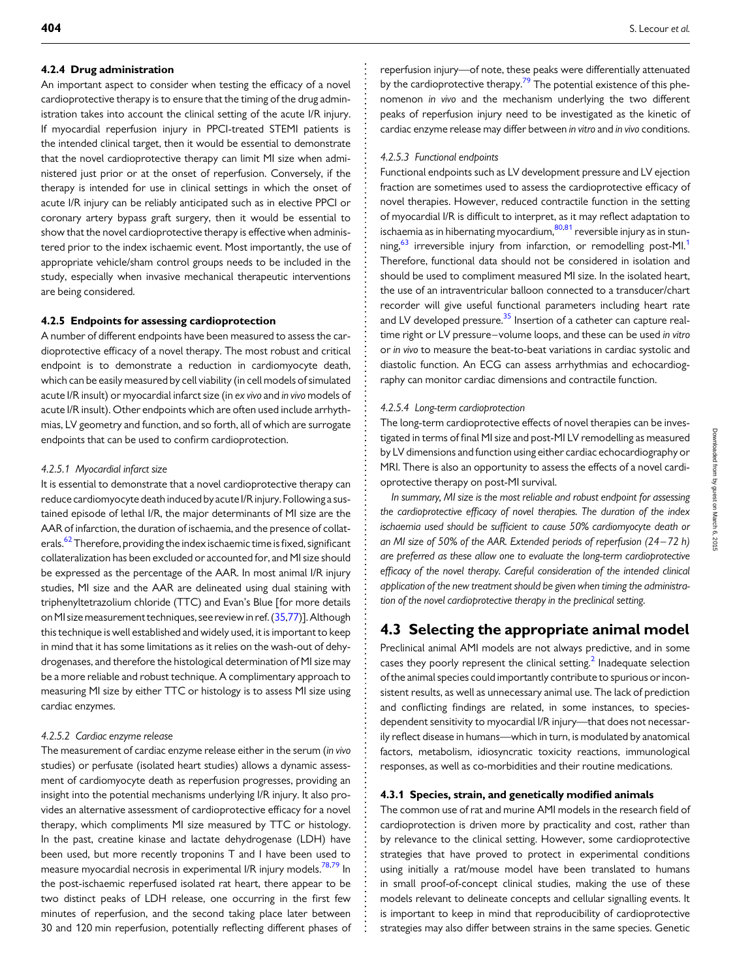# 4.2.4 Drug administration

An important aspect to consider when testing the efficacy of a novel cardioprotective therapy is to ensure that the timing of the drug administration takes into account the clinical setting of the acute I/R injury. If myocardial reperfusion injury in PPCI-treated STEMI patients is the intended clinical target, then it would be essential to demonstrate that the novel cardioprotective therapy can limit MI size when administered just prior or at the onset of reperfusion. Conversely, if the therapy is intended for use in clinical settings in which the onset of acute I/R injury can be reliably anticipated such as in elective PPCI or coronary artery bypass graft surgery, then it would be essential to show that the novel cardioprotective therapy is effective when administered prior to the index ischaemic event. Most importantly, the use of appropriate vehicle/sham control groups needs to be included in the study, especially when invasive mechanical therapeutic interventions are being considered.

### 4.2.5 Endpoints for assessing cardioprotection

A number of different endpoints have been measured to assess the cardioprotective efficacy of a novel therapy. The most robust and critical endpoint is to demonstrate a reduction in cardiomyocyte death, which can be easily measured by cell viability (in cell models of simulated acute I/R insult) or myocardial infarct size (in ex vivo and in vivo models of acute I/R insult). Other endpoints which are often used include arrhythmias, LV geometry and function, and so forth, all of which are surrogate endpoints that can be used to confirm cardioprotection.

#### 4.2.5.1 Myocardial infarct size

It is essential to demonstrate that a novel cardioprotective therapy can reduce cardiomyocyte death inducedbyacuteI/R injury.Following a sustained episode of lethal I/R, the major determinants of MI size are the AAR of infarction, the duration of ischaemia, and the presence of collat-erals.<sup>[62](#page-11-0)</sup> Therefore, providing the index ischaemic time is fixed, significant collateralization has been excluded or accounted for, and MI size should be expressed as the percentage of the AAR. In most animal I/R injury studies, MI size and the AAR are delineated using dual staining with triphenyltetrazolium chloride (TTC) and Evan's Blue [for more details on MI size measurement techniques, see review in ref. ([35](#page-10-0)[,77](#page-11-0))]. Although this technique is well established and widely used, it is important to keep in mind that it has some limitations as it relies on the wash-out of dehydrogenases, and therefore the histological determination of MI size may be a more reliable and robust technique. A complimentary approach to measuring MI size by either TTC or histology is to assess MI size using cardiac enzymes.

# 4.2.5.2 Cardiac enzyme release

The measurement of cardiac enzyme release either in the serum (in vivo studies) or perfusate (isolated heart studies) allows a dynamic assessment of cardiomyocyte death as reperfusion progresses, providing an insight into the potential mechanisms underlying I/R injury. It also provides an alternative assessment of cardioprotective efficacy for a novel therapy, which compliments MI size measured by TTC or histology. In the past, creatine kinase and lactate dehydrogenase (LDH) have been used, but more recently troponins T and I have been used to measure myocardial necrosis in experimental I/R injury models.<sup>[78](#page-11-0),[79](#page-11-0)</sup> In the post-ischaemic reperfused isolated rat heart, there appear to be two distinct peaks of LDH release, one occurring in the first few minutes of reperfusion, and the second taking place later between 30 and 120 min reperfusion, potentially reflecting different phases of

reperfusion injury—of note, these peaks were differentially attenuated by the cardioprotective therapy.<sup>[79](#page-11-0)</sup> The potential existence of this phenomenon in vivo and the mechanism underlying the two different peaks of reperfusion injury need to be investigated as the kinetic of cardiac enzyme release may differ between in vitro and in vivo conditions.

### 4.2.5.3 Functional endpoints

Functional endpoints such as LV development pressure and LV ejection fraction are sometimes used to assess the cardioprotective efficacy of novel therapies. However, reduced contractile function in the setting of myocardial I/R is difficult to interpret, as it may reflect adaptation to ischaemia as in hibernating myocardium,  $80,81$  $80,81$  $80,81$  reversible injury as in stunning, $63$  irreversible injury from infarction, or remodelling post-MI.<sup>[1](#page-10-0)</sup> Therefore, functional data should not be considered in isolation and should be used to compliment measured MI size. In the isolated heart, the use of an intraventricular balloon connected to a transducer/chart recorder will give useful functional parameters including heart rate and LV developed pressure. $35$  Insertion of a catheter can capture realtime right or LV pressure–volume loops, and these can be used in vitro or in vivo to measure the beat-to-beat variations in cardiac systolic and diastolic function. An ECG can assess arrhythmias and echocardiography can monitor cardiac dimensions and contractile function.

# 4.2.5.4 Long-term cardioprotection

The long-term cardioprotective effects of novel therapies can be investigated in terms of final MI size and post-MI LV remodelling as measured by LV dimensions and function using either cardiac echocardiography or MRI. There is also an opportunity to assess the effects of a novel cardioprotective therapy on post-MI survival.

In summary, MI size is the most reliable and robust endpoint for assessing the cardioprotective efficacy of novel therapies. The duration of the index ischaemia used should be sufficient to cause 50% cardiomyocyte death or an MI size of 50% of the AAR. Extended periods of reperfusion (24–72 h) are preferred as these allow one to evaluate the long-term cardioprotective efficacy of the novel therapy. Careful consideration of the intended clinical application of the new treatment should be given when timing the administration of the novel cardioprotective therapy in the preclinical setting.

# 4.3 Selecting the appropriate animal model

Preclinical animal AMI models are not always predictive, and in some cases they poorly represent the clinical setting.<sup>[2](#page-10-0)</sup> Inadequate selection of the animal species could importantly contribute to spurious or inconsistent results, as well as unnecessary animal use. The lack of prediction and conflicting findings are related, in some instances, to speciesdependent sensitivity to myocardial I/R injury—that does not necessarily reflect disease in humans—which in turn, is modulated by anatomical factors, metabolism, idiosyncratic toxicity reactions, immunological responses, as well as co-morbidities and their routine medications.

### 4.3.1 Species, strain, and genetically modified animals

The common use of rat and murine AMI models in the research field of cardioprotection is driven more by practicality and cost, rather than by relevance to the clinical setting. However, some cardioprotective strategies that have proved to protect in experimental conditions using initially a rat/mouse model have been translated to humans in small proof-of-concept clinical studies, making the use of these models relevant to delineate concepts and cellular signalling events. It is important to keep in mind that reproducibility of cardioprotective strategies may also differ between strains in the same species. Genetic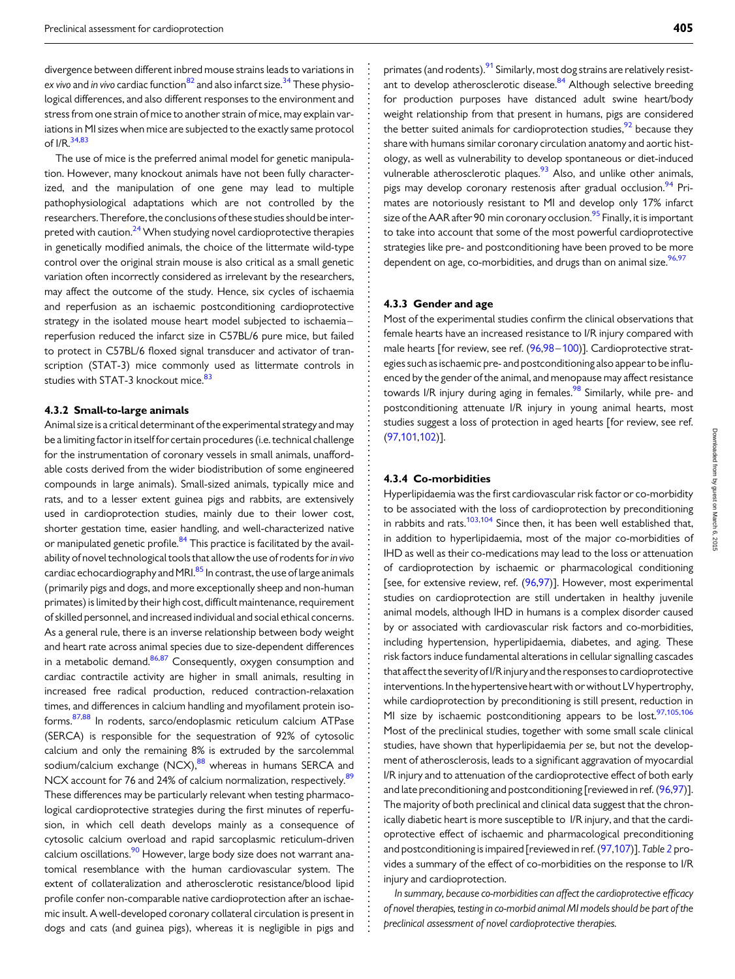divergence between different inbred mouse strains leads to variations in ex vivo and in vivo cardiac function  $82$  and also infarct size.<sup>[34](#page-10-0)</sup> These physiological differences, and also different responses to the environment and stress from one strain of mice to another strain of mice, may explain variations in MI sizes when mice are subjected to the exactly same protocol of I/R.[34,](#page-10-0)[83](#page-11-0)

The use of mice is the preferred animal model for genetic manipulation. However, many knockout animals have not been fully characterized, and the manipulation of one gene may lead to multiple pathophysiological adaptations which are not controlled by the researchers.Therefore, the conclusions of these studies should be inter-preted with caution.<sup>[24](#page-10-0)</sup> When studying novel cardioprotective therapies in genetically modified animals, the choice of the littermate wild-type control over the original strain mouse is also critical as a small genetic variation often incorrectly considered as irrelevant by the researchers, may affect the outcome of the study. Hence, six cycles of ischaemia and reperfusion as an ischaemic postconditioning cardioprotective strategy in the isolated mouse heart model subjected to ischaemia– reperfusion reduced the infarct size in C57BL/6 pure mice, but failed to protect in C57BL/6 floxed signal transducer and activator of transcription (STAT-3) mice commonly used as littermate controls in studies with STAT-3 knockout mice.<sup>[83](#page-11-0)</sup>

# 4.3.2 Small-to-large animals

Animal size is acritical determinant of the experimental strategyand may be a limiting factor in itself forcertain procedures (i.e. technical challenge for the instrumentation of coronary vessels in small animals, unaffordable costs derived from the wider biodistribution of some engineered compounds in large animals). Small-sized animals, typically mice and rats, and to a lesser extent guinea pigs and rabbits, are extensively used in cardioprotection studies, mainly due to their lower cost, shorter gestation time, easier handling, and well-characterized native or manipulated genetic profile.<sup>[84](#page-11-0)</sup> This practice is facilitated by the availability of novel technological tools that allow the use of rodents for in vivo cardiac echocardiography and MRI.<sup>[85](#page-11-0)</sup> In contrast, the use of large animals (primarily pigs and dogs, and more exceptionally sheep and non-human primates) is limited by their high cost, difficult maintenance, requirement of skilled personnel, and increased individual and social ethical concerns. As a general rule, there is an inverse relationship between body weight and heart rate across animal species due to size-dependent differences in a metabolic demand.<sup>[86](#page-11-0),[87](#page-11-0)</sup> Consequently, oxygen consumption and cardiac contractile activity are higher in small animals, resulting in increased free radical production, reduced contraction-relaxation times, and differences in calcium handling and myofilament protein isoforms.[87](#page-11-0),[88](#page-11-0) In rodents, sarco/endoplasmic reticulum calcium ATPase (SERCA) is responsible for the sequestration of 92% of cytosolic calcium and only the remaining 8% is extruded by the sarcolemmal sodium/calcium exchange (NCX), $88$  whereas in humans SERCA and NCX account for 76 and 24% of calcium normalization, respectively.<sup>[89](#page-11-0)</sup> These differences may be particularly relevant when testing pharmacological cardioprotective strategies during the first minutes of reperfusion, in which cell death develops mainly as a consequence of cytosolic calcium overload and rapid sarcoplasmic reticulum-driven calcium oscillations.<sup>[90](#page-11-0)</sup> However, large body size does not warrant anatomical resemblance with the human cardiovascular system. The extent of collateralization and atherosclerotic resistance/blood lipid profile confer non-comparable native cardioprotection after an ischaemic insult. A well-developed coronary collateral circulation is present in dogs and cats (and guinea pigs), whereas it is negligible in pigs and primates (and rodents).<sup>[91](#page-11-0)</sup> Similarly, most dog strains are relatively resist-ant to develop atherosclerotic disease.<sup>[84](#page-11-0)</sup> Although selective breeding for production purposes have distanced adult swine heart/body weight relationship from that present in humans, pigs are considered the better suited animals for cardioprotection studies.  $92$  because they share with humans similar coronary circulation anatomy and aortic histology, as well as vulnerability to develop spontaneous or diet-induced vulnerable atherosclerotic plaques. $\frac{93}{2}$  $\frac{93}{2}$  $\frac{93}{2}$  Also, and unlike other animals, pigs may develop coronary restenosis after gradual occlusion.<sup>94</sup> Primates are notoriously resistant to MI and develop only 17% infarct size of the AAR after 90 min coronary occlusion.<sup>[95](#page-11-0)</sup> Finally, it is important to take into account that some of the most powerful cardioprotective strategies like pre- and postconditioning have been proved to be more dependent on age, co-morbidities, and drugs than on animal size.<sup>96,[97](#page-12-0)</sup>

# 4.3.3 Gender and age

Most of the experimental studies confirm the clinical observations that female hearts have an increased resistance to I/R injury compared with male hearts [for review, see ref. ([96,](#page-11-0)[98](#page-12-0)–[100](#page-12-0))]. Cardioprotective strategies such as ischaemic pre- and postconditioning also appear to be influenced by the gender of the animal, and menopause may affect resistance towards I/R injury during aging in females.<sup>98</sup> Similarly, while pre- and postconditioning attenuate I/R injury in young animal hearts, most studies suggest a loss of protection in aged hearts [for review, see ref. [\(97,101,102\)](#page-12-0)].

# 4.3.4 Co-morbidities

Hyperlipidaemia was the first cardiovascular risk factor or co-morbidity to be associated with the loss of cardioprotection by preconditioning in rabbits and rats.<sup>[103,104](#page-12-0)</sup> Since then, it has been well established that, in addition to hyperlipidaemia, most of the major co-morbidities of IHD as well as their co-medications may lead to the loss or attenuation of cardioprotection by ischaemic or pharmacological conditioning [see, for extensive review, ref. ([96](#page-11-0)[,97](#page-12-0))]. However, most experimental studies on cardioprotection are still undertaken in healthy juvenile animal models, although IHD in humans is a complex disorder caused by or associated with cardiovascular risk factors and co-morbidities, including hypertension, hyperlipidaemia, diabetes, and aging. These risk factors induce fundamental alterations in cellular signalling cascades that affect the severity of I/R injury and the responses to cardioprotective interventions. In the hypertensive heart with or without LV hypertrophy, while cardioprotection by preconditioning is still present, reduction in MI size by ischaemic postconditioning appears to be lost.<sup>97,105,[106](#page-12-0)</sup> Most of the preclinical studies, together with some small scale clinical studies, have shown that hyperlipidaemia per se, but not the development of atherosclerosis, leads to a significant aggravation of myocardial I/R injury and to attenuation of the cardioprotective effect of both early and late preconditioning and postconditioning [reviewed in ref. ([96,](#page-11-0)[97](#page-12-0))]. The majority of both preclinical and clinical data suggest that the chronically diabetic heart is more susceptible to I/R injury, and that the cardioprotective effect of ischaemic and pharmacological preconditioning and postconditioning is impaired [reviewed in ref. ([97](#page-12-0),[107](#page-12-0))]. Table [2](#page-7-0) provides a summary of the effect of co-morbidities on the response to I/R injury and cardioprotection.

In summary, because co-morbidities can affect the cardioprotective efficacy of novel therapies, testing in co-morbid animal MI models should be part of the preclinical assessment of novel cardioprotective therapies.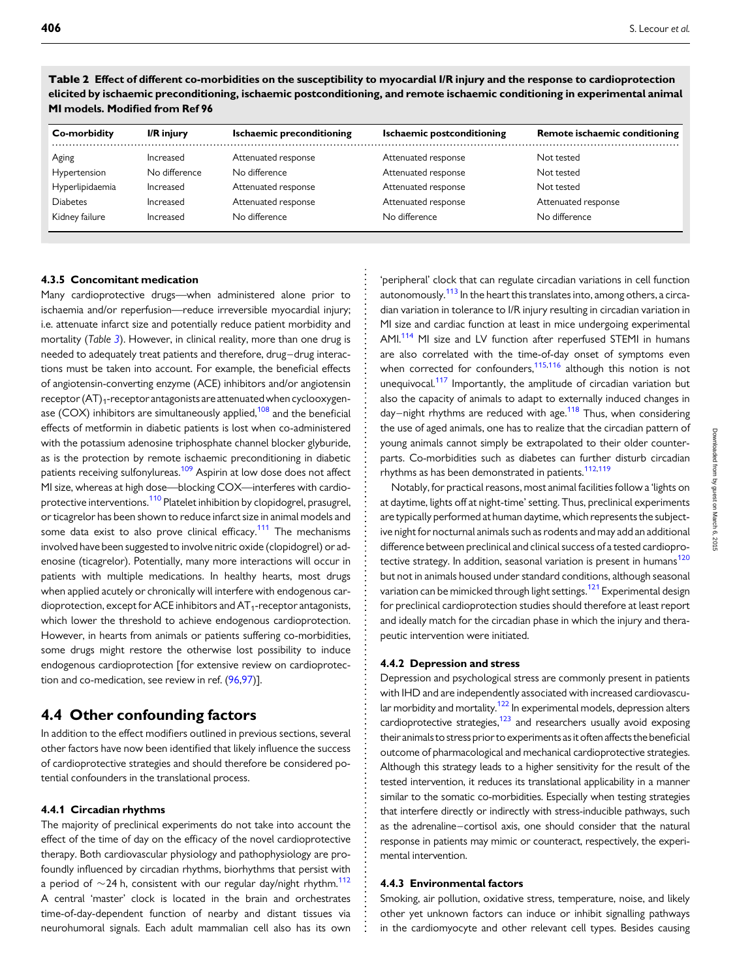| Co-morbidity    | I/R injury    | Ischaemic preconditioning | Ischaemic postconditioning | Remote ischaemic conditioning |
|-----------------|---------------|---------------------------|----------------------------|-------------------------------|
| Aging           | Increased     | Attenuated response       | Attenuated response        | Not tested                    |
| Hypertension    | No difference | No difference             | Attenuated response        | Not tested                    |
| Hyperlipidaemia | Increased     | Attenuated response       | Attenuated response        | Not tested                    |
| <b>Diabetes</b> | Increased     | Attenuated response       | Attenuated response        | Attenuated response           |
| Kidney failure  | Increased     | No difference             | No difference              | No difference                 |
|                 |               |                           |                            |                               |

<span id="page-7-0"></span>Table 2 Effect of different co-morbidities on the susceptibility to myocardial I/R injury and the response to cardioprotection elicited by ischaemic preconditioning, ischaemic postconditioning, and remote ischaemic conditioning in experimental animal MI models. Modified from Ref 96

### 4.3.5 Concomitant medication

Many cardioprotective drugs—when administered alone prior to ischaemia and/or reperfusion—reduce irreversible myocardial injury; i.e. attenuate infarct size and potentially reduce patient morbidity and mortality (Table [3](#page-8-0)). However, in clinical reality, more than one drug is needed to adequately treat patients and therefore, drug–drug interactions must be taken into account. For example, the beneficial effects of angiotensin-converting enzyme (ACE) inhibitors and/or angiotensin receptor  $(AT)_{1}$ -receptor antagonists are attenuated when cyclooxygenase (COX) inhibitors are simultaneously applied, $108$  and the beneficial effects of metformin in diabetic patients is lost when co-administered with the potassium adenosine triphosphate channel blocker glyburide, as is the protection by remote ischaemic preconditioning in diabetic patients receiving sulfonylureas.<sup>109</sup> Aspirin at low dose does not affect MI size, whereas at high dose—blocking COX—interferes with cardioprotective interventions.[110](#page-12-0) Platelet inhibition by clopidogrel, prasugrel, or ticagrelor has been shown to reduce infarct size in animal models and some data exist to also prove clinical efficacy.<sup>111</sup> The mechanisms involved have been suggested to involve nitric oxide (clopidogrel) or adenosine (ticagrelor). Potentially, many more interactions will occur in patients with multiple medications. In healthy hearts, most drugs when applied acutely or chronically will interfere with endogenous cardioprotection, except for ACE inhibitors and  $AT_1$ -receptor antagonists, which lower the threshold to achieve endogenous cardioprotection. However, in hearts from animals or patients suffering co-morbidities, some drugs might restore the otherwise lost possibility to induce endogenous cardioprotection [for extensive review on cardioprotection and co-medication, see review in ref. [\(96](#page-11-0),[97\)](#page-12-0)].

# 4.4 Other confounding factors

In addition to the effect modifiers outlined in previous sections, several other factors have now been identified that likely influence the success of cardioprotective strategies and should therefore be considered potential confounders in the translational process.

### 4.4.1 Circadian rhythms

The majority of preclinical experiments do not take into account the effect of the time of day on the efficacy of the novel cardioprotective therapy. Both cardiovascular physiology and pathophysiology are profoundly influenced by circadian rhythms, biorhythms that persist with a period of  $\sim$ 24 h, consistent with our regular day/night rhythm. $^{112}$ A central 'master' clock is located in the brain and orchestrates time-of-day-dependent function of nearby and distant tissues via neurohumoral signals. Each adult mammalian cell also has its own 'peripheral' clock that can regulate circadian variations in cell function autonomously.<sup>[113](#page-12-0)</sup> In the heart this translates into, among others, a circadian variation in tolerance to I/R injury resulting in circadian variation in MI size and cardiac function at least in mice undergoing experimental AMI.<sup>114</sup> MI size and LV function after reperfused STEMI in humans are also correlated with the time-of-day onset of symptoms even when corrected for confounders, $115,116$  although this notion is not unequivocal.[117](#page-12-0) Importantly, the amplitude of circadian variation but also the capacity of animals to adapt to externally induced changes in day–night rhythms are reduced with age.<sup>[118](#page-12-0)</sup> Thus, when considering the use of aged animals, one has to realize that the circadian pattern of young animals cannot simply be extrapolated to their older counterparts. Co-morbidities such as diabetes can further disturb circadian rhythms as has been demonstrated in patients.<sup>[112,119](#page-12-0)</sup>

Notably, for practical reasons, most animal facilities follow a 'lights on at daytime, lights off at night-time' setting. Thus, preclinical experiments are typically performed at human daytime, which represents the subjective night for nocturnal animals such as rodents and may add an additional difference between preclinical and clinical success of a tested cardiopro-tective strategy. In addition, seasonal variation is present in humans<sup>[120](#page-12-0)</sup> but not in animals housed under standard conditions, although seasonal variation can be mimicked through light settings.<sup>121</sup> Experimental design for preclinical cardioprotection studies should therefore at least report and ideally match for the circadian phase in which the injury and therapeutic intervention were initiated.

#### 4.4.2 Depression and stress

Depression and psychological stress are commonly present in patients with IHD and are independently associated with increased cardiovascu-lar morbidity and mortality.<sup>[122](#page-12-0)</sup> In experimental models, depression alters cardioprotective strategies, $123$  and researchers usually avoid exposing their animals to stress prior to experiments as it often affects the beneficial outcome of pharmacological and mechanical cardioprotective strategies. Although this strategy leads to a higher sensitivity for the result of the tested intervention, it reduces its translational applicability in a manner similar to the somatic co-morbidities. Especially when testing strategies that interfere directly or indirectly with stress-inducible pathways, such as the adrenaline–cortisol axis, one should consider that the natural response in patients may mimic or counteract, respectively, the experimental intervention.

### 4.4.3 Environmental factors

Smoking, air pollution, oxidative stress, temperature, noise, and likely other yet unknown factors can induce or inhibit signalling pathways in the cardiomyocyte and other relevant cell types. Besides causing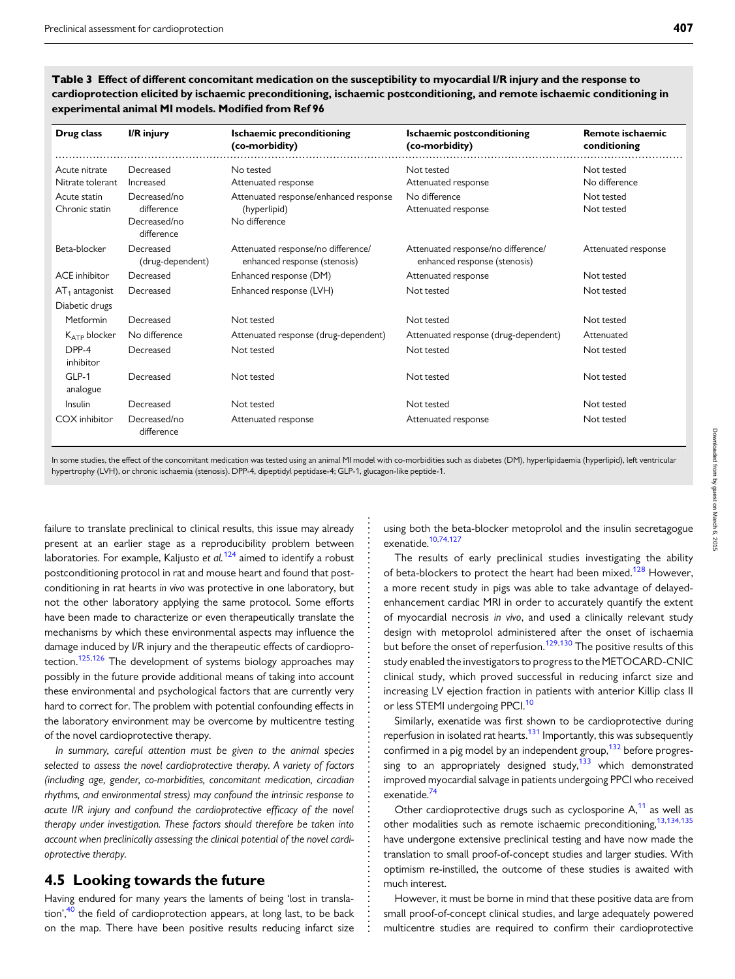<span id="page-8-0"></span>Table 3 Effect of different concomitant medication on the susceptibility to myocardial I/R injury and the response to cardioprotection elicited by ischaemic preconditioning, ischaemic postconditioning, and remote ischaemic conditioning in experimental animal MI models. Modified from Ref 96

| Drug class                        | I/R injury                                               | <b>Ischaemic preconditioning</b><br>(co-morbidity)                     | <b>Ischaemic postconditioning</b><br>(co-morbidity)                | Remote ischaemic<br>conditioning |
|-----------------------------------|----------------------------------------------------------|------------------------------------------------------------------------|--------------------------------------------------------------------|----------------------------------|
| Acute nitrate<br>Nitrate tolerant | Decreased<br>Increased                                   | No tested<br>Attenuated response                                       | Not tested<br>Attenuated response                                  | Not tested<br>No difference      |
| Acute statin<br>Chronic statin    | Decreased/no<br>difference<br>Decreased/no<br>difference | Attenuated response/enhanced response<br>(hyperlipid)<br>No difference | No difference<br>Attenuated response                               | Not tested<br>Not tested         |
| Beta-blocker                      | Decreased<br>(drug-dependent)                            | Attenuated response/no difference/<br>enhanced response (stenosis)     | Attenuated response/no difference/<br>enhanced response (stenosis) | Attenuated response              |
| <b>ACE</b> inhibitor              | Decreased                                                | Enhanced response (DM)                                                 | Attenuated response                                                | Not tested                       |
| $AT1$ antagonist                  | Decreased                                                | Enhanced response (LVH)                                                | Not tested                                                         | Not tested                       |
| Diabetic drugs                    |                                                          |                                                                        |                                                                    |                                  |
| Metformin                         | Decreased                                                | Not tested                                                             | Not tested                                                         | Not tested                       |
| $K_{ATP}$ blocker                 | No difference                                            | Attenuated response (drug-dependent)                                   | Attenuated response (drug-dependent)                               | Attenuated                       |
| DPP-4<br>inhibitor                | Decreased                                                | Not tested                                                             | Not tested                                                         | Not tested                       |
| GLP-1<br>analogue                 | Decreased                                                | Not tested                                                             | Not tested                                                         | Not tested                       |
| Insulin                           | Decreased                                                | Not tested                                                             | Not tested                                                         | Not tested                       |
| COX inhibitor                     | Decreased/no<br>difference                               | Attenuated response                                                    | Attenuated response                                                | Not tested                       |

In some studies, the effect of the concomitant medication was tested using an animal MI model with co-morbidities such as diabetes (DM), hyperlipidaemia (hyperlipid), left ventricular hypertrophy (LVH), or chronic ischaemia (stenosis). DPP-4, dipeptidyl peptidase-4; GLP-1, glucagon-like peptide-1.

failure to translate preclinical to clinical results, this issue may already present at an earlier stage as a reproducibility problem between laboratories. For example, Kaljusto et  $al$ .<sup>[124](#page-12-0)</sup> aimed to identify a robust postconditioning protocol in rat and mouse heart and found that postconditioning in rat hearts in vivo was protective in one laboratory, but not the other laboratory applying the same protocol. Some efforts have been made to characterize or even therapeutically translate the mechanisms by which these environmental aspects may influence the damage induced by I/R injury and the therapeutic effects of cardiopro-tection.<sup>[125](#page-12-0),[126](#page-12-0)</sup> The development of systems biology approaches may possibly in the future provide additional means of taking into account these environmental and psychological factors that are currently very hard to correct for. The problem with potential confounding effects in the laboratory environment may be overcome by multicentre testing of the novel cardioprotective therapy.

In summary, careful attention must be given to the animal species selected to assess the novel cardioprotective therapy. A variety of factors (including age, gender, co-morbidities, concomitant medication, circadian rhythms, and environmental stress) may confound the intrinsic response to acute I/R injury and confound the cardioprotective efficacy of the novel therapy under investigation. These factors should therefore be taken into account when preclinically assessing the clinical potential of the novel cardioprotective therapy.

# 4.5 Looking towards the future

Having endured for many years the laments of being 'lost in translation', $40$  the field of cardioprotection appears, at long last, to be back on the map. There have been positive results reducing infarct size using both the beta-blocker metoprolol and the insulin secretagogue exenatide.<sup>[10,](#page-10-0)[74,](#page-11-0)[127](#page-12-0)</sup>

The results of early preclinical studies investigating the ability of beta-blockers to protect the heart had been mixed.<sup>[128](#page-12-0)</sup> However, a more recent study in pigs was able to take advantage of delayedenhancement cardiac MRI in order to accurately quantify the extent of myocardial necrosis in vivo, and used a clinically relevant study design with metoprolol administered after the onset of ischaemia but before the onset of reperfusion.<sup>[129](#page-12-0),[130](#page-12-0)</sup> The positive results of this study enabled the investigators to progress to the METOCARD-CNIC clinical study, which proved successful in reducing infarct size and increasing LV ejection fraction in patients with anterior Killip class II or less STEMI undergoing PPCI.<sup>[10](#page-10-0)</sup>

Similarly, exenatide was first shown to be cardioprotective during reperfusion in isolated rat hearts.<sup>[131](#page-12-0)</sup> Importantly, this was subsequently confirmed in a pig model by an independent group,<sup>132</sup> before progressing to an appropriately designed study,  $133$  which demonstrated improved myocardial salvage in patients undergoing PPCI who received exenatide.<sup>[74](#page-11-0)</sup>

Other cardioprotective drugs such as cyclosporine  $A<sub>11</sub>$  $A<sub>11</sub>$  $A<sub>11</sub>$  as well as other modalities such as remote ischaemic preconditioning,<sup>13[,13](#page-10-0)4,[135](#page-12-0)</sup> have undergone extensive preclinical testing and have now made the translation to small proof-of-concept studies and larger studies. With optimism re-instilled, the outcome of these studies is awaited with much interest.

However, it must be borne in mind that these positive data are from small proof-of-concept clinical studies, and large adequately powered multicentre studies are required to confirm their cardioprotective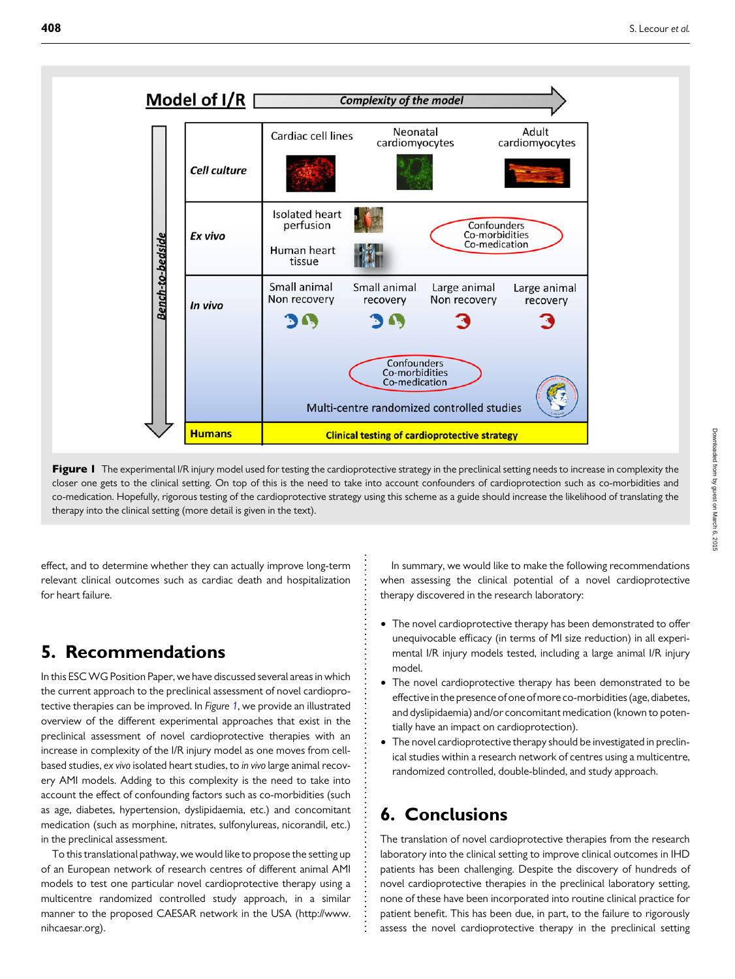

Figure 1 The experimental I/R injury model used for testing the cardioprotective strategy in the preclinical setting needs to increase in complexity the closer one gets to the clinical setting. On top of this is the need to take into account confounders of cardioprotection such as co-morbidities and co-medication. Hopefully, rigorous testing of the cardioprotective strategy using this scheme as a guide should increase the likelihood of translating the therapy into the clinical setting (more detail is given in the text).

effect, and to determine whether they can actually improve long-term relevant clinical outcomes such as cardiac death and hospitalization for heart failure.

# 5. Recommendations

In this ESC WG Position Paper, we have discussed several areas in which the current approach to the preclinical assessment of novel cardioprotective therapies can be improved. In Figure 1, we provide an illustrated overview of the different experimental approaches that exist in the preclinical assessment of novel cardioprotective therapies with an increase in complexity of the I/R injury model as one moves from cellbased studies, ex vivo isolated heart studies, to in vivo large animal recovery AMI models. Adding to this complexity is the need to take into account the effect of confounding factors such as co-morbidities (such as age, diabetes, hypertension, dyslipidaemia, etc.) and concomitant medication (such as morphine, nitrates, sulfonylureas, nicorandil, etc.) in the preclinical assessment.

To this translational pathway, we would like to propose the setting up of an European network of research centres of different animal AMI models to test one particular novel cardioprotective therapy using a multicentre randomized controlled study approach, in a similar manner to the proposed CAESAR network in the USA [\(http://www.](http://www.nihcaesar.org) [nihcaesar.org\)](http://www.nihcaesar.org).

In summary, we would like to make the following recommendations when assessing the clinical potential of a novel cardioprotective therapy discovered in the research laboratory:

- The novel cardioprotective therapy has been demonstrated to offer unequivocable efficacy (in terms of MI size reduction) in all experimental I/R injury models tested, including a large animal I/R injury model.
- The novel cardioprotective therapy has been demonstrated to be effective in the presence of one of more co-morbidities (age, diabetes, and dyslipidaemia) and/or concomitant medication (known to potentially have an impact on cardioprotection).
- The novel cardioprotective therapy should be investigated in preclinical studies within a research network of centres using a multicentre, randomized controlled, double-blinded, and study approach.

# 6. Conclusions

The translation of novel cardioprotective therapies from the research laboratory into the clinical setting to improve clinical outcomes in IHD patients has been challenging. Despite the discovery of hundreds of novel cardioprotective therapies in the preclinical laboratory setting, none of these have been incorporated into routine clinical practice for patient benefit. This has been due, in part, to the failure to rigorously assess the novel cardioprotective therapy in the preclinical setting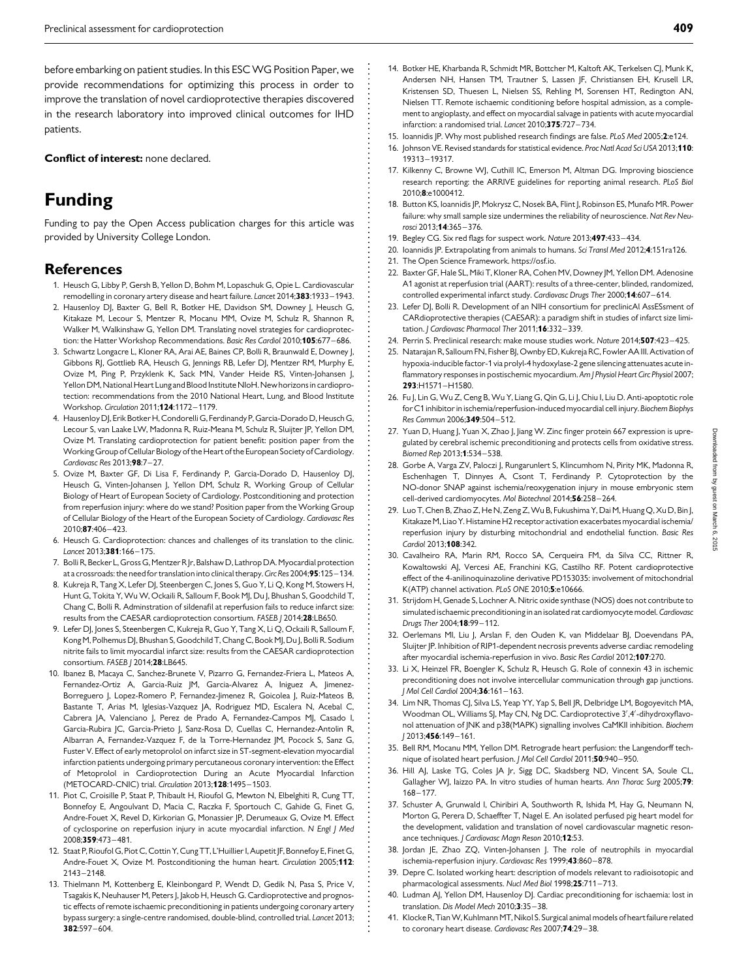<span id="page-10-0"></span>before embarking on patient studies. In this ESC WG Position Paper, we provide recommendations for optimizing this process in order to improve the translation of novel cardioprotective therapies discovered in the research laboratory into improved clinical outcomes for IHD patients.

# Conflict of interest: none declared.

# Funding

Funding to pay the Open Access publication charges for this article was provided by University College London.

# **References**

- 1. Heusch G, Libby P, Gersh B, Yellon D, Bohm M, Lopaschuk G, Opie L. Cardiovascular remodelling in coronary artery disease and heart failure. Lancet 2014;383:1933–1943.
- 2. Hausenloy DJ, Baxter G, Bell R, Botker HE, Davidson SM, Downey J, Heusch G, Kitakaze M, Lecour S, Mentzer R, Mocanu MM, Ovize M, Schulz R, Shannon R, Walker M, Walkinshaw G, Yellon DM. Translating novel strategies for cardioprotection: the Hatter Workshop Recommendations. Basic Res Cardiol 2010;105:677–686.
- 3. Schwartz Longacre L, Kloner RA, Arai AE, Baines CP, Bolli R, Braunwald E, Downey J, Gibbons RJ, Gottlieb RA, Heusch G, Jennings RB, Lefer DJ, Mentzer RM, Murphy E, Ovize M, Ping P, Przyklenk K, Sack MN, Vander Heide RS, Vinten-Johansen J, Yellon DM, National Heart Lungand Blood Institute NIoH. Newhorizons incardioprotection: recommendations from the 2010 National Heart, Lung, and Blood Institute Workshop. Circulation 2011;124:1172–1179.
- 4. Hausenloy DJ, Erik Botker H, Condorelli G, Ferdinandy P, Garcia-Dorado D, Heusch G, Lecour S, van Laake LW, Madonna R, Ruiz-Meana M, Schulz R, Sluijter JP, Yellon DM, Ovize M. Translating cardioprotection for patient benefit: position paper from the Working Group of Cellular Biology of the Heart of the European Society of Cardiology. Cardiovasc Res 2013:98:7-27.
- 5. Ovize M, Baxter GF, Di Lisa F, Ferdinandy P, Garcia-Dorado D, Hausenloy DJ, Heusch G, Vinten-Johansen J, Yellon DM, Schulz R, Working Group of Cellular Biology of Heart of European Society of Cardiology. Postconditioning and protection from reperfusion injury: where do we stand? Position paper from the Working Group of Cellular Biology of the Heart of the European Society of Cardiology. Cardiovasc Res 2010;87:406–423.
- 6. Heusch G. Cardioprotection: chances and challenges of its translation to the clinic. Lancet 2013;381:166–175.
- 7. Bolli R, Becker L, Gross G, Mentzer R Jr, Balshaw D, Lathrop DA. Myocardial protection ata crossroads: the need for translation into clinical therapy.Circ Res 2004;95:125–134.
- 8. Kukreja R, Tang X, Lefer DJ, Steenbergen C, Jones S, Guo Y, Li Q, Kong M, Stowers H, Hunt G, Tokita Y, Wu W, Ockaili R, Salloum F, Book MJ, Du J, Bhushan S, Goodchild T, Chang C, Bolli R. Adminstration of sildenafil at reperfusion fails to reduce infarct size: results from the CAESAR cardioprotection consortium. FASEB J 2014;28:LB650.
- 9. Lefer DJ, Jones S, Steenbergen C, Kukreja R, Guo Y, Tang X, Li Q, Ockaili R, Salloum F, Kong M, Polhemus DJ, Bhushan S, Goodchild T, Chang C, Book MJ, Du J, Bolli R. Sodium nitrite fails to limit myocardial infarct size: results from the CAESAR cardioprotection consortium. FASEB / 2014;28:LB645.
- 10. Ibanez B, Macaya C, Sanchez-Brunete V, Pizarro G, Fernandez-Friera L, Mateos A, Fernandez-Ortiz A, Garcia-Ruiz JM, Garcia-Alvarez A, Iniguez A, Jimenez-Borreguero J, Lopez-Romero P, Fernandez-Jimenez R, Goicolea J, Ruiz-Mateos B, Bastante T, Arias M, Iglesias-Vazquez JA, Rodriguez MD, Escalera N, Acebal C, Cabrera JA, Valenciano J, Perez de Prado A, Fernandez-Campos MJ, Casado I, Garcia-Rubira JC, Garcia-Prieto J, Sanz-Rosa D, Cuellas C, Hernandez-Antolin R, Albarran A, Fernandez-Vazquez F, de la Torre-Hernandez JM, Pocock S, Sanz G, Fuster V. Effect of early metoprolol on infarct size in ST-segment-elevation myocardial infarction patients undergoing primary percutaneous coronary intervention: the Effect of Metoprolol in Cardioprotection During an Acute Myocardial Infarction (METOCARD-CNIC) trial. Circulation 2013;128:1495–1503.
- 11. Piot C, Croisille P, Staat P, Thibault H, Rioufol G, Mewton N, Elbelghiti R, Cung TT, Bonnefoy E, Angoulvant D, Macia C, Raczka F, Sportouch C, Gahide G, Finet G, Andre-Fouet X, Revel D, Kirkorian G, Monassier JP, Derumeaux G, Ovize M. Effect of cyclosporine on reperfusion injury in acute myocardial infarction. N Engl J Med 2008;359:473–481.
- 12. Staat P, Rioufol G, Piot C, Cottin Y, Cung TT, L'Huillier I, Aupetit JF, Bonnefoy E, Finet G, Andre-Fouet X, Ovize M. Postconditioning the human heart. Circulation 2005;112: 2143–2148.
- 13. Thielmann M, Kottenberg E, Kleinbongard P, Wendt D, Gedik N, Pasa S, Price V, Tsagakis K, Neuhauser M, Peters J, Jakob H, Heusch G. Cardioprotective and prognostic effects of remote ischaemic preconditioning in patients undergoing coronary artery bypass surgery: a single-centre randomised, double-blind, controlled trial. Lancet 2013; 382:597–604.
- 14. Botker HE, Kharbanda R, Schmidt MR, Bottcher M, Kaltoft AK, Terkelsen CJ, Munk K, Andersen NH, Hansen TM, Trautner S, Lassen JF, Christiansen EH, Krusell LR, Kristensen SD, Thuesen L, Nielsen SS, Rehling M, Sorensen HT, Redington AN, Nielsen TT. Remote ischaemic conditioning before hospital admission, as a complement to angioplasty, and effect on myocardial salvage in patients with acute myocardial infarction: a randomised trial. Lancet 2010;375:727–734.
- 15. Ioannidis JP. Why most published research findings are false. PLoS Med 2005;2:e124.
- 16. Johnson VE. Revised standards for statistical evidence. Proc Natl Acad Sci USA 2013;110: 19313–19317.
- 17. Kilkenny C, Browne WJ, Cuthill IC, Emerson M, Altman DG. Improving bioscience research reporting: the ARRIVE guidelines for reporting animal research. PLoS Biol 2010;8:e1000412.
- 18. Button KS, Ioannidis JP, Mokrysz C, Nosek BA, Flint J, Robinson ES, Munafo MR. Power failure: why small sample size undermines the reliability of neuroscience. Nat Rev Neurosci 2013;14:365–376.
- 19. Begley CG. Six red flags for suspect work. Nature 2013;497:433–434.
- 20. Ioannidis JP. Extrapolating from animals to humans. Sci Transl Med 2012;4:151ra126.
- 21. The Open Science Framework.<https://osf.io>.
- 22. Baxter GF, Hale SL, Miki T, Kloner RA, Cohen MV, Downey JM, Yellon DM. Adenosine A1 agonist at reperfusion trial (AART): results of a three-center, blinded, randomized, controlled experimental infarct study. Cardiovasc Drugs Ther 2000;14:607–614.
- 23. Lefer DJ, Bolli R. Development of an NIH consortium for preclinicAl AssESsment of CARdioprotective therapies (CAESAR): a paradigm shift in studies of infarct size limitation. J Cardiovasc Pharmacol Ther 2011;16:332-339.
- 24. Perrin S. Preclinical research: make mouse studies work. Nature 2014;507:423–425.
- 25. Natarajan R, Salloum FN, Fisher BJ, Ownby ED, Kukreja RC, Fowler AA III. Activation of hypoxia-inducible factor-1 via prolyl-4 hydoxylase-2 gene silencing attenuates acute inflammatory responses in postischemic myocardium. Am J Physiol Heart Circ Physiol 2007; 293:H1571–H1580.
- 26. Fu J, Lin G, Wu Z, Ceng B, Wu Y, Liang G, Qin G, Li J, Chiu I, Liu D. Anti-apoptotic role for C1 inhibitor in ischemia/reperfusion-induced myocardial cell injury. Biochem Biophys Res Commun 2006;349:504–512.
- 27. Yuan D, Huang J, Yuan X, Zhao J, Jiang W. Zinc finger protein 667 expression is upregulated by cerebral ischemic preconditioning and protects cells from oxidative stress. Biomed Rep 2013;1:534–538.
- 28. Gorbe A, Varga ZV, Paloczi J, Rungarunlert S, Klincumhom N, Pirity MK, Madonna R, Eschenhagen T, Dinnyes A, Csont T, Ferdinandy P. Cytoprotection by the NO-donor SNAP against ischemia/reoxygenation injury in mouse embryonic stem cell-derived cardiomyocytes. Mol Biotechnol 2014;56:258–264.
- 29. Luo T, Chen B, Zhao Z, He N, Zeng Z, Wu B, Fukushima Y, Dai M, Huang Q, Xu D, Bin J, Kitakaze M, Liao Y. Histamine H2 receptoractivation exacerbates myocardial ischemia/ reperfusion injury by disturbing mitochondrial and endothelial function. Basic Res Cardiol 2013;108:342.
- 30. Cavalheiro RA, Marin RM, Rocco SA, Cerqueira FM, da Silva CC, Rittner R, Kowaltowski AJ, Vercesi AE, Franchini KG, Castilho RF. Potent cardioprotective effect of the 4-anilinoquinazoline derivative PD153035: involvement of mitochondrial K(ATP) channel activation. PLoS ONE 2010;5:e10666.
- 31. Strijdom H, Genade S, Lochner A. Nitric oxide synthase (NOS) does not contribute to simulated ischaemic preconditioning in anisolatedrat cardiomyocyte model. Cardiovasc Drugs Ther 2004;18:99–112.
- 32. Oerlemans MI, Liu J, Arslan F, den Ouden K, van Middelaar BJ, Doevendans PA, Sluijter JP. Inhibition of RIP1-dependent necrosis prevents adverse cardiac remodeling after myocardial ischemia-reperfusion in vivo. Basic Res Cardiol 2012;107:270.
- 33. Li X, Heinzel FR, Boengler K, Schulz R, Heusch G. Role of connexin 43 in ischemic preconditioning does not involve intercellular communication through gap junctions. J Mol Cell Cardiol 2004;36:161–163.
- 34. Lim NR, Thomas CJ, Silva LS, Yeap YY, Yap S, Bell JR, Delbridge LM, Bogoyevitch MA, Woodman OL, Williams SJ, May CN, Ng DC. Cardioprotective 3′ ,4′ -dihydroxyflavonol attenuation of JNK and p38(MAPK) signalling involves CaMKII inhibition. Biochem J 2013;456:149-161.
- 35. Bell RM, Mocanu MM, Yellon DM. Retrograde heart perfusion: the Langendorff technique of isolated heart perfusion. J Mol Cell Cardiol 2011;50:940-950.
- 36. Hill AJ, Laske TG, Coles JA Jr, Sigg DC, Skadsberg ND, Vincent SA, Soule CL, Gallagher WJ, laizzo PA. In vitro studies of human hearts. Ann Thorac Surg 2005;79: 168–177.
- 37. Schuster A, Grunwald I, Chiribiri A, Southworth R, Ishida M, Hay G, Neumann N, Morton G, Perera D, Schaeffter T, Nagel E. An isolated perfused pig heart model for the development, validation and translation of novel cardiovascular magnetic resonance techniques. J Cardiovasc Magn Reson 2010;12:53.
- 38. Jordan JE, Zhao ZQ, Vinten-Johansen J. The role of neutrophils in myocardial ischemia-reperfusion injury. Cardiovasc Res 1999;43:860–878.
- 39. Depre C. Isolated working heart: description of models relevant to radioisotopic and pharmacological assessments. Nucl Med Biol 1998;25:711–713.
- Ludman AJ, Yellon DM, Hausenloy DJ. Cardiac preconditioning for ischaemia: lost in translation. Dis Model Mech 2010;3:35-38.
- 41. Klocke R, Tian W, Kuhlmann MT, Nikol S. Surgical animal models of heart failure related to coronary heart disease. Cardiovasc Res 2007;74:29–38.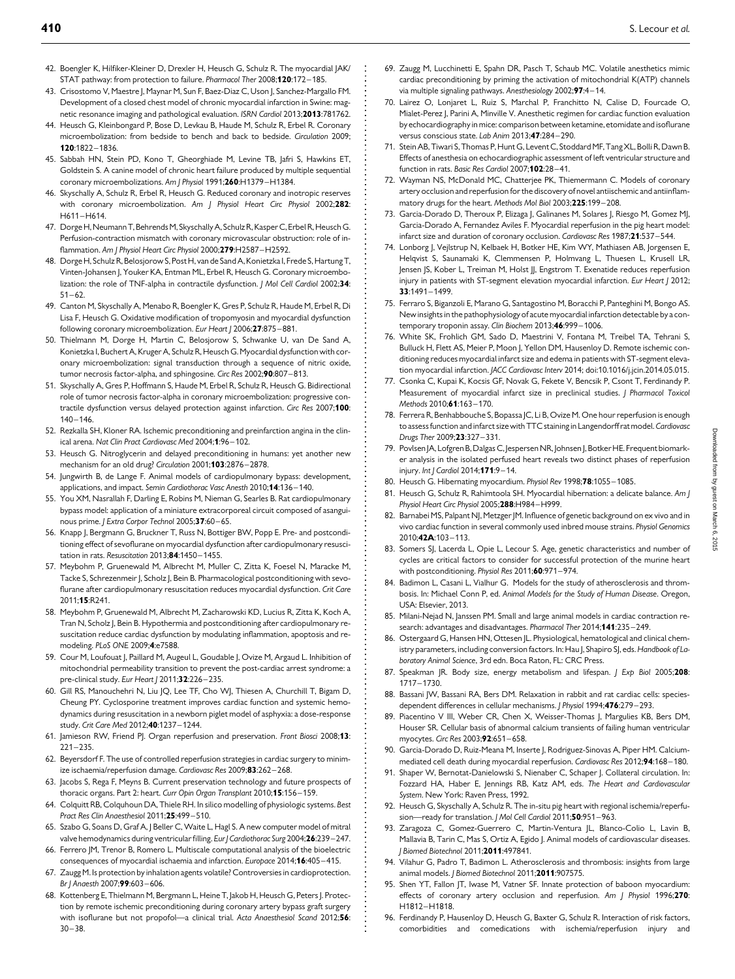by guest on March 6, 2015 Downloaded from

py guest on

March 6 2015

Downloaded from

- 
- <span id="page-11-0"></span>42. Boengler K, Hilfiker-Kleiner D, Drexler H, Heusch G, Schulz R. The myocardial JAK/ STAT pathway: from protection to failure. Pharmacol Ther 2008;120:172–185.
- 43. Crisostomo V, Maestre J, Maynar M, Sun F, Baez-Diaz C, Uson J, Sanchez-Margallo FM. Development of a closed chest model of chronic myocardial infarction in Swine: magnetic resonance imaging and pathological evaluation. ISRN Cardiol 2013;2013:781762.
- 44. Heusch G, Kleinbongard P, Bose D, Levkau B, Haude M, Schulz R, Erbel R. Coronary microembolization: from bedside to bench and back to bedside. Circulation 2009; 120:1822–1836.
- 45. Sabbah HN, Stein PD, Kono T, Gheorghiade M, Levine TB, Jafri S, Hawkins ET, Goldstein S. A canine model of chronic heart failure produced by multiple sequential coronary microembolizations. Am J Physiol 1991;260:H1379-H1384.
- 46. Skyschally A, Schulz R, Erbel R, Heusch G. Reduced coronary and inotropic reserves with coronary microembolization. Am | Physiol Heart Circ Physiol 2002;282: H611–H614.
- 47. Dorge H, Neumann T, Behrends M, Skyschally A, Schulz R, Kasper C, Erbel R, Heusch G. Perfusion-contraction mismatch with coronary microvascular obstruction: role of inflammation. Am J Physiol Heart Circ Physiol 2000;279:H2587–H2592.
- 48. Dorge H, Schulz R, Belosjorow S, Post H, vande Sand A, Konietzka I, Frede S, Hartung T, Vinten-Johansen J, Youker KA, Entman ML, Erbel R, Heusch G. Coronary microembolization: the role of TNF-alpha in contractile dysfunction. J Mol Cell Cardiol 2002;34:  $51 - 62$
- 49. Canton M, Skyschally A, Menabo R, Boengler K, Gres P, Schulz R, Haude M, Erbel R, Di Lisa F, Heusch G. Oxidative modification of tropomyosin and myocardial dysfunction following coronary microembolization. Eur Heart | 2006;27:875-881.
- 50. Thielmann M, Dorge H, Martin C, Belosjorow S, Schwanke U, van De Sand A, Konietzka I, Buchert A, Kruger A, Schulz R, Heusch G. Myocardial dysfunction with coronary microembolization: signal transduction through a sequence of nitric oxide, tumor necrosis factor-alpha, and sphingosine. Circ Res 2002;90:807-813.
- 51. Skyschally A, Gres P, Hoffmann S, Haude M, Erbel R, Schulz R, Heusch G. Bidirectional role of tumor necrosis factor-alpha in coronary microembolization: progressive contractile dysfunction versus delayed protection against infarction. Circ Res 2007;100: 140–146.
- 52. Rezkalla SH, Kloner RA. Ischemic preconditioning and preinfarction angina in the clinical arena. Nat Clin Pract Cardiovasc Med 2004;1:96–102.
- 53. Heusch G. Nitroglycerin and delayed preconditioning in humans: yet another new mechanism for an old drug? Circulation 2001;103:2876–2878.
- 54. Jungwirth B, de Lange F. Animal models of cardiopulmonary bypass: development, applications, and impact. Semin Cardiothorac Vasc Anesth 2010;14:136–140.
- 55. You XM, Nasrallah F, Darling E, Robins M, Nieman G, Searles B. Rat cardiopulmonary bypass model: application of a miniature extracorporeal circuit composed of asanguinous prime. J Extra Corpor Technol 2005;37:60-65.
- 56. Knapp J, Bergmann G, Bruckner T, Russ N, Bottiger BW, Popp E. Pre- and postconditioning effect of sevoflurane on myocardial dysfunction after cardiopulmonary resuscitation in rats. Resuscitation 2013:84:1450-1455.
- 57. Meybohm P, Gruenewald M, Albrecht M, Muller C, Zitta K, Foesel N, Maracke M, Tacke S, Schrezenmeir J, Scholz J, Bein B. Pharmacological postconditioning with sevoflurane after cardiopulmonary resuscitation reduces myocardial dysfunction. Crit Care 2011;15:R241.
- 58. Meybohm P, Gruenewald M, Albrecht M, Zacharowski KD, Lucius R, Zitta K, Koch A, Tran N, Scholz J, Bein B. Hypothermia and postconditioning after cardiopulmonary resuscitation reduce cardiac dysfunction by modulating inflammation, apoptosis and remodeling. PLoS ONE 2009;4:e7588.
- 59. Cour M, Loufouat J, Paillard M, Augeul L, Goudable J, Ovize M, Argaud L. Inhibition of mitochondrial permeability transition to prevent the post-cardiac arrest syndrome: a pre-clinical study. Eur Heart J 2011;32:226-235.
- 60. Gill RS, Manouchehri N, Liu JQ, Lee TF, Cho WJ, Thiesen A, Churchill T, Bigam D, Cheung PY. Cyclosporine treatment improves cardiac function and systemic hemodynamics during resuscitation in a newborn piglet model of asphyxia: a dose-response study. Crit Care Med 2012;40:1237–1244.
- 61. Jamieson RW, Friend PJ. Organ reperfusion and preservation. Front Biosci 2008;13: 221–235.
- 62. Beyersdorf F. The use of controlled reperfusion strategies in cardiac surgery to minimize ischaemia/reperfusion damage. Cardiovasc Res 2009;83:262–268.
- 63. Jacobs S, Rega F, Meyns B. Current preservation technology and future prospects of thoracic organs. Part 2: heart. Curr Opin Organ Transplant 2010;15:156-159.
- 64. Colquitt RB, Colquhoun DA, Thiele RH. In silico modelling of physiologic systems. Best Pract Res Clin Anaesthesiol 2011;25:499–510.
- 65. Szabo G, Soans D, Graf A, J Beller C, Waite L, Hagl S. A new computer model of mitral valve hemodynamics during ventricular filling. Eur J Cardiothorac Surg 2004;26:239–247.
- 66. Ferrero JM, Trenor B, Romero L. Multiscale computational analysis of the bioelectric consequences of myocardial ischaemia and infarction. Europace 2014;16:405–415.
- 67. Zaugg M. Is protection by inhalation agents volatile? Controversies in cardioprotection. Br J Anaesth 2007;99:603–606.
- 68. Kottenberg E, Thielmann M, Bergmann L, Heine T, Jakob H, Heusch G, Peters J. Protection by remote ischemic preconditioning during coronary artery bypass graft surgery with isoflurane but not propofol—a clinical trial. Acta Anaesthesiol Scand 2012;56: 30–38.
- 69. Zaugg M, Lucchinetti E, Spahn DR, Pasch T, Schaub MC. Volatile anesthetics mimic cardiac preconditioning by priming the activation of mitochondrial K(ATP) channels via multiple signaling pathways. Anesthesiology 2002;97:4–14.
- 70. Lairez O, Lonjaret L, Ruiz S, Marchal P, Franchitto N, Calise D, Fourcade O, Mialet-Perez J, Parini A, Minville V. Anesthetic regimen for cardiac function evaluation byechocardiography in mice: comparison between ketamine, etomidate and isoflurane versus conscious state. Lab Anim 2013;47:284–290.
- 71. Stein AB, Tiwari S, Thomas P, Hunt G, Levent C, Stoddard MF, TangXL, Bolli R, Dawn B. Effects of anesthesia on echocardiographic assessment of left ventricular structure and function in rats. Basic Res Cardiol 2007;102:28–41.
- 72. Wayman NS, McDonald MC, Chatterjee PK, Thiemermann C. Models of coronary artery occlusion and reperfusion for the discovery of novel antiischemic and antiinflammatory drugs for the heart. Methods Mol Biol 2003;225:199–208.
- 73. Garcia-Dorado D, Theroux P, Elizaga J, Galinanes M, Solares J, Riesgo M, Gomez MJ, Garcia-Dorado A, Fernandez Aviles F. Myocardial reperfusion in the pig heart model: infarct size and duration of coronary occlusion. Cardiovasc Res 1987;21:537–544.
- 74. Lonborg J, Veilstrup N, Kelbaek H, Botker HE, Kim WY, Mathiasen AB, Jorgensen E, Helqvist S, Saunamaki K, Clemmensen P, Holmvang L, Thuesen L, Krusell LR, Jensen JS, Kober L, Treiman M, Holst JJ, Engstrom T. Exenatide reduces reperfusion injury in patients with ST-segment elevation myocardial infarction. Eur Heart | 2012; 33:1491–1499.
- 75. Ferraro S, Biganzoli E, Marano G, Santagostino M, Boracchi P, Panteghini M, Bongo AS. New insights in the pathophysiologyof acute myocardial infarction detectable by a contemporary troponin assay. Clin Biochem 2013;46:999-1006.
- 76. White SK, Frohlich GM, Sado D, Maestrini V, Fontana M, Treibel TA, Tehrani S, Bulluck H, Flett AS, Meier P, Moon J, Yellon DM, Hausenloy D. Remote ischemic conditioning reduces myocardial infarct size and edema in patients with ST-segment elevation myocardial infarction. JACC Cardiovasc Interv 2014; doi:10.1016/j.jcin.2014.05.015.
- 77. Csonka C, Kupai K, Kocsis GF, Novak G, Fekete V, Bencsik P, Csont T, Ferdinandy P. Measurement of myocardial infarct size in preclinical studies. J Pharmacol Toxicol Methods 2010;61:163–170.
- 78. Ferrera R, Benhabbouche S, Bopassa JC, Li B, Ovize M. One hour reperfusion is enough to assess function and infarct size with TTC staining in Langendorff rat model. Cardiovasc Drugs Ther 2009;23:327–331.
- 79. Povlsen JA, Lofgren B, Dalgas C, Jespersen NR, Johnsen J, Botker HE. Frequent biomarker analysis in the isolated perfused heart reveals two distinct phases of reperfusion injury. Int J Cardiol 2014;171:9–14.
- 80. Heusch G. Hibernating myocardium. Physiol Rev 1998;78:1055–1085.
- 81. Heusch G, Schulz R, Rahimtoola SH. Myocardial hibernation: a delicate balance. Am I Physiol Heart Circ Physiol 2005;288:H984–H999.
- 82. Barnabei MS, Palpant NJ, Metzger JM. Influence of genetic background on ex vivo and in vivo cardiac function in several commonly used inbred mouse strains. Physiol Genomics 2010;42A:103–113.
- 83. Somers SJ, Lacerda L, Opie L, Lecour S. Age, genetic characteristics and number of cycles are critical factors to consider for successful protection of the murine heart with postconditioning. Physiol Res 2011;60:971-974.
- 84. Badimon L, Casani L, Vialhur G. Models for the study of atherosclerosis and thrombosis. In: Michael Conn P, ed. Animal Models for the Study of Human Disease. Oregon, USA: Elsevier, 2013.
- 85. Milani-Nejad N, Janssen PM. Small and large animal models in cardiac contraction research: advantages and disadvantages. Pharmacol Ther 2014;141:235–249.
- 86. Ostergaard G, Hansen HN, Ottesen JL. Physiological, hematological and clinical chemistry parameters, including conversion factors, In: Hau I, Shapiro SI, eds. Handbook of Laboratory Animal Science, 3rd edn. Boca Raton, FL: CRC Press.
- 87. Speakman JR. Body size, energy metabolism and lifespan. J Exp Biol 2005;208: 1717–1730.
- 88. Bassani JW, Bassani RA, Bers DM. Relaxation in rabbit and rat cardiac cells: speciesdependent differences in cellular mechanisms. J Physiol 1994;476:279–293.
- 89. Piacentino V III, Weber CR, Chen X, Weisser-Thomas J, Margulies KB, Bers DM, Houser SR. Cellular basis of abnormal calcium transients of failing human ventricular myocytes. Circ Res 2003;92:651–658.
- 90. Garcia-Dorado D, Ruiz-Meana M, Inserte J, Rodriguez-Sinovas A, Piper HM. Calciummediated cell death during myocardial reperfusion. Cardiovasc Res 2012;94:168–180.
- 91. Shaper W, Bernotat-Danielowski S, Nienaber C, Schaper J. Collateral circulation. In: Fozzard HA, Haber E, Jennings RB, Katz AM, eds. The Heart and Cardiovascular System. New York: Raven Press, 1992.
- 92. Heusch G, Skyschally A, Schulz R. The in-situ pig heart with regional ischemia/reperfusion-ready for translation. J Mol Cell Cardiol 2011;50:951-963.
- 93. Zaragoza C, Gomez-Guerrero C, Martin-Ventura JL, Blanco-Colio L, Lavin B, Mallavia B, Tarin C, Mas S, Ortiz A, Egido J. Animal models of cardiovascular diseases. J Biomed Biotechnol 2011;2011:497841.
- 94. Vilahur G, Padro T, Badimon L. Atherosclerosis and thrombosis: insights from large animal models. J Biomed Biotechnol 2011;2011:907575.
- 95. Shen YT, Fallon JT, Iwase M, Vatner SF. Innate protection of baboon myocardium: effects of coronary artery occlusion and reperfusion. Am J Physiol 1996;270: H1812–H1818.
- 96. Ferdinandy P, Hausenloy D, Heusch G, Baxter G, Schulz R. Interaction of risk factors, comorbidities and comedications with ischemia/reperfusion injury and